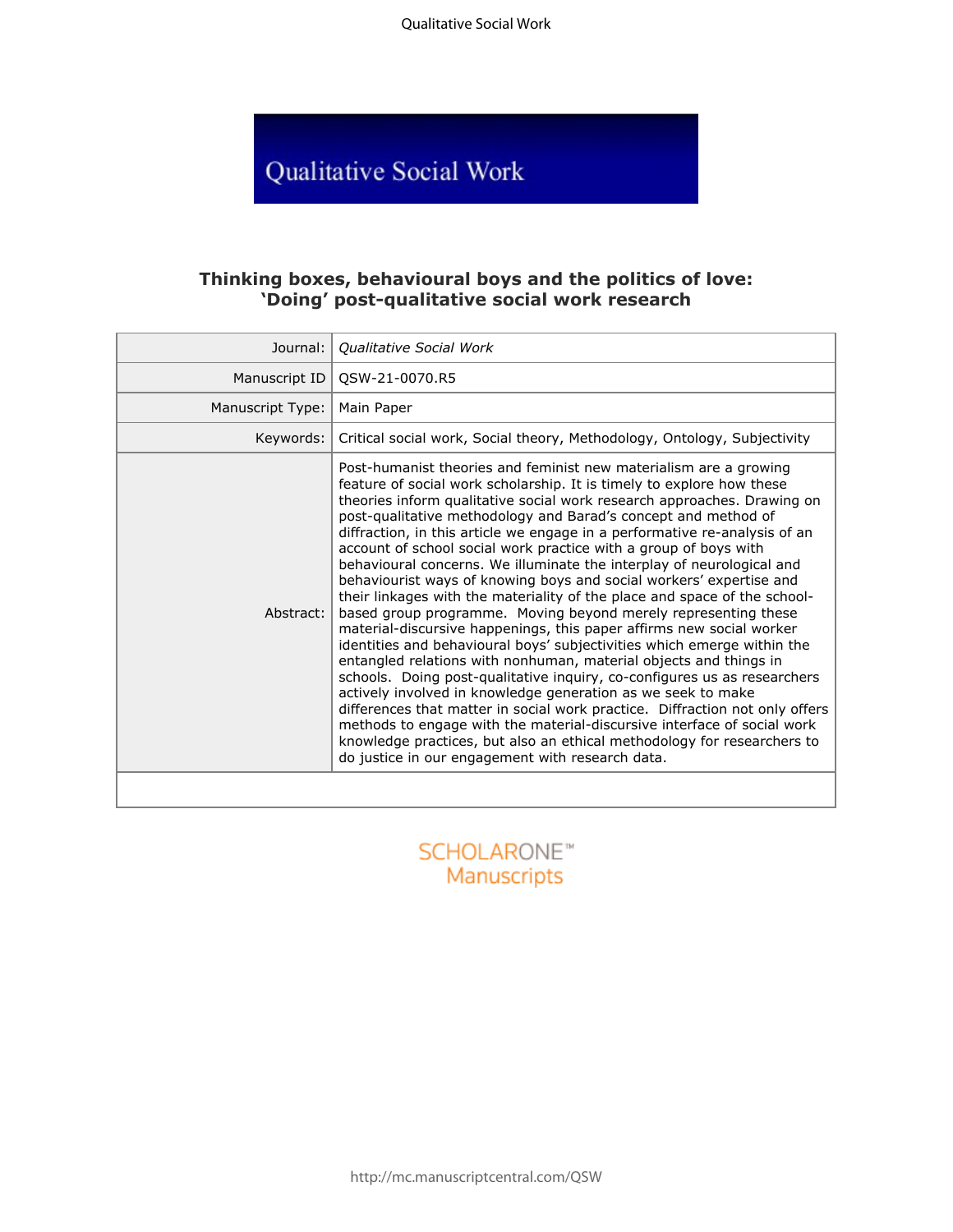Qualitative Social Work

# Qualitative Social Work

# **Thinking boxes, behavioural boys and the politics of love: 'Doing' post-qualitative social work research**

| Journal:         | Qualitative Social Work                                                                                                                                                                                                                                                                                                                                                                                                                                                                                                                                                                                                                                                                                                                                                                                                                                                                                                                                                                                                                                                                                                                                                                                                                                                                                                                                                                                |
|------------------|--------------------------------------------------------------------------------------------------------------------------------------------------------------------------------------------------------------------------------------------------------------------------------------------------------------------------------------------------------------------------------------------------------------------------------------------------------------------------------------------------------------------------------------------------------------------------------------------------------------------------------------------------------------------------------------------------------------------------------------------------------------------------------------------------------------------------------------------------------------------------------------------------------------------------------------------------------------------------------------------------------------------------------------------------------------------------------------------------------------------------------------------------------------------------------------------------------------------------------------------------------------------------------------------------------------------------------------------------------------------------------------------------------|
| Manuscript ID    | QSW-21-0070.R5                                                                                                                                                                                                                                                                                                                                                                                                                                                                                                                                                                                                                                                                                                                                                                                                                                                                                                                                                                                                                                                                                                                                                                                                                                                                                                                                                                                         |
| Manuscript Type: | Main Paper                                                                                                                                                                                                                                                                                                                                                                                                                                                                                                                                                                                                                                                                                                                                                                                                                                                                                                                                                                                                                                                                                                                                                                                                                                                                                                                                                                                             |
| Keywords:        | Critical social work, Social theory, Methodology, Ontology, Subjectivity                                                                                                                                                                                                                                                                                                                                                                                                                                                                                                                                                                                                                                                                                                                                                                                                                                                                                                                                                                                                                                                                                                                                                                                                                                                                                                                               |
| Abstract:        | Post-humanist theories and feminist new materialism are a growing<br>feature of social work scholarship. It is timely to explore how these<br>theories inform qualitative social work research approaches. Drawing on<br>post-qualitative methodology and Barad's concept and method of<br>diffraction, in this article we engage in a performative re-analysis of an<br>account of school social work practice with a group of boys with<br>behavioural concerns. We illuminate the interplay of neurological and<br>behaviourist ways of knowing boys and social workers' expertise and<br>their linkages with the materiality of the place and space of the school-<br>based group programme. Moving beyond merely representing these<br>material-discursive happenings, this paper affirms new social worker<br>identities and behavioural boys' subjectivities which emerge within the<br>entangled relations with nonhuman, material objects and things in<br>schools. Doing post-qualitative inquiry, co-configures us as researchers<br>actively involved in knowledge generation as we seek to make<br>differences that matter in social work practice. Diffraction not only offers<br>methods to engage with the material-discursive interface of social work<br>knowledge practices, but also an ethical methodology for researchers to<br>do justice in our engagement with research data. |
|                  |                                                                                                                                                                                                                                                                                                                                                                                                                                                                                                                                                                                                                                                                                                                                                                                                                                                                                                                                                                                                                                                                                                                                                                                                                                                                                                                                                                                                        |

# **SCHOLARONE™** Manuscripts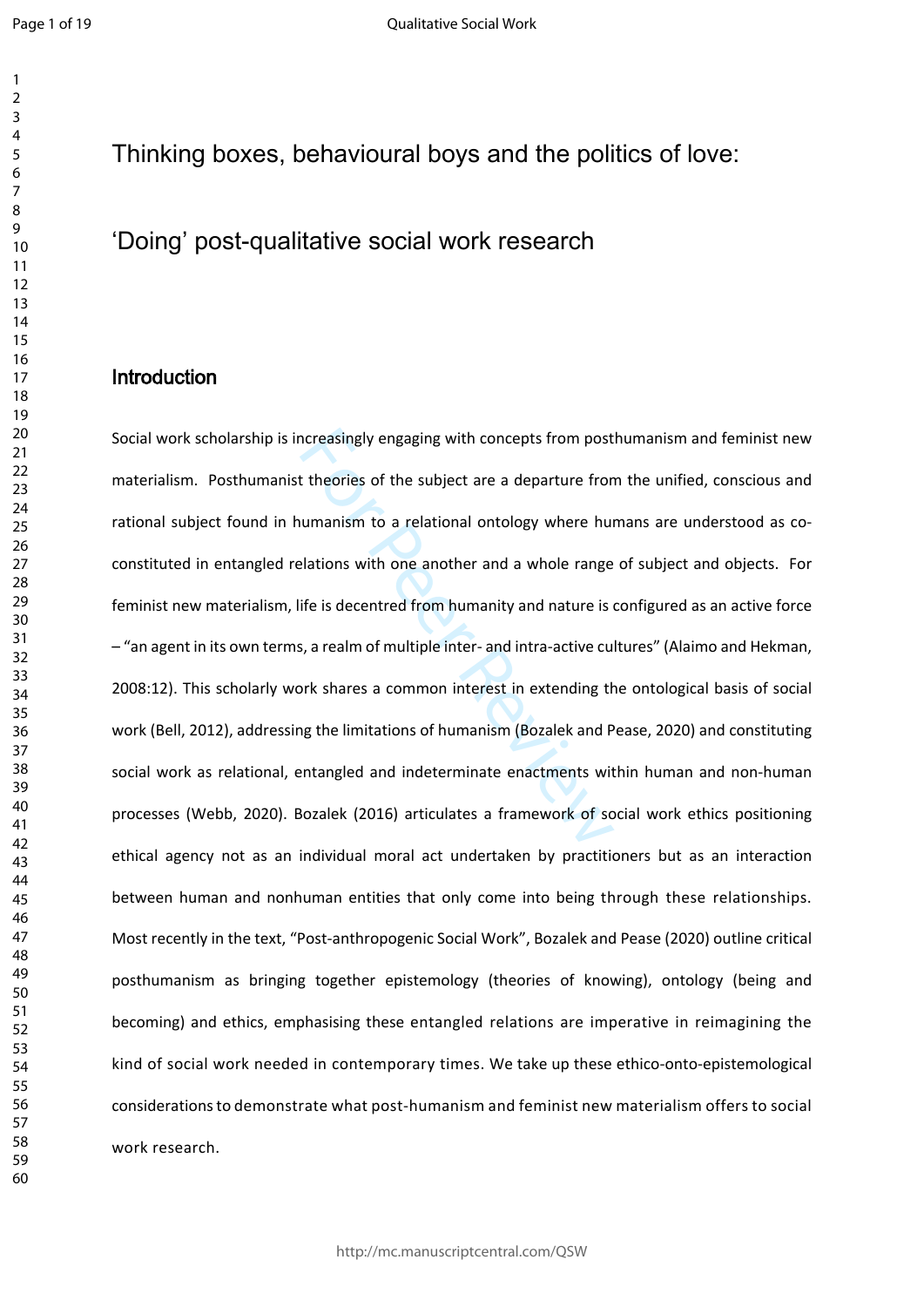# Thinking boxes, behavioural boys and the politics of love:

# 'Doing' post-qualitative social work research

# **Introduction**

ncreasingly engaging with concepts from post<br>t theories of the subject are a departure from<br>umanism to a relational ontology where huist<br>elations with one another and a whole range<br>ife is decentred from humanity and nature Social work scholarship is increasingly engaging with concepts from posthumanism and feminist new materialism. Posthumanist theories of the subject are a departure from the unified, conscious and rational subject found in humanism to a relational ontology where humans are understood as coconstituted in entangled relations with one another and a whole range of subject and objects. For feminist new materialism, life is decentred from humanity and nature is configured as an active force – "an agent in its own terms, a realm of multiple inter- and intra-active cultures" (Alaimo and Hekman, 2008:12). This scholarly work shares a common interest in extending the ontological basis of social work (Bell, 2012), addressing the limitations of humanism (Bozalek and Pease, 2020) and constituting social work as relational, entangled and indeterminate enactments within human and non-human processes (Webb, 2020). Bozalek (2016) articulates a framework of social work ethics positioning ethical agency not as an individual moral act undertaken by practitioners but as an interaction between human and nonhuman entities that only come into being through these relationships. Most recently in the text, "Post-anthropogenic Social Work", Bozalek and Pease (2020) outline critical posthumanism as bringing together epistemology (theories of knowing), ontology (being and becoming) and ethics, emphasising these entangled relations are imperative in reimagining the kind of social work needed in contemporary times. We take up these ethico-onto-epistemological considerations to demonstrate what post-humanism and feminist new materialism offers to social work research.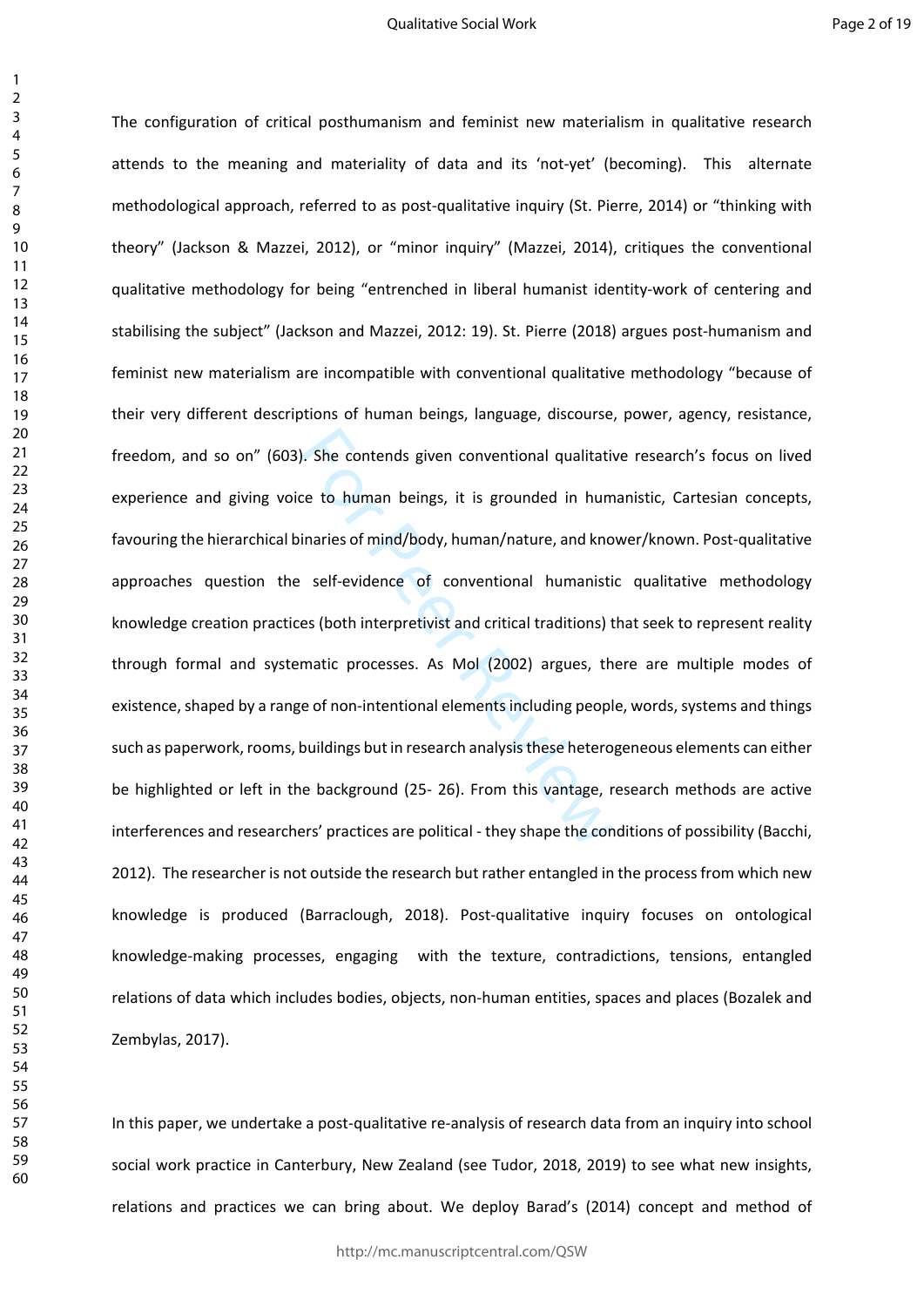). She contends given conventional qualitative<br>ce to human beings, it is grounded in hum<br>inaries of mind/body, human/nature, and kno<br>self-evidence of conventional humanisti<br>es (both interpretivist and critical traditions) The configuration of critical posthumanism and feminist new materialism in qualitative research attends to the meaning and materiality of data and its 'not-yet' (becoming). This alternate methodological approach, referred to as post-qualitative inquiry (St. Pierre, 2014) or "thinking with theory" (Jackson & Mazzei, 2012), or "minor inquiry" (Mazzei, 2014), critiques the conventional qualitative methodology for being "entrenched in liberal humanist identity-work of centering and stabilising the subject" (Jackson and Mazzei, 2012: 19). St. Pierre (2018) argues post-humanism and feminist new materialism are incompatible with conventional qualitative methodology "because of their very different descriptions of human beings, language, discourse, power, agency, resistance, freedom, and so on" (603). She contends given conventional qualitative research's focus on lived experience and giving voice to human beings, it is grounded in humanistic, Cartesian concepts, favouring the hierarchical binaries of mind/body, human/nature, and knower/known. Post-qualitative approaches question the self-evidence of conventional humanistic qualitative methodology knowledge creation practices (both interpretivist and critical traditions) that seek to represent reality through formal and systematic processes. As Mol (2002) argues, there are multiple modes of existence, shaped by a range of non-intentional elements including people, words, systems and things such as paperwork, rooms, buildings but in research analysis these heterogeneous elements can either be highlighted or left in the background (25- 26). From this vantage, research methods are active interferences and researchers' practices are political - they shape the conditions of possibility (Bacchi, 2012). The researcher is not outside the research but rather entangled in the process from which new knowledge is produced (Barraclough, 2018). Post-qualitative inquiry focuses on ontological knowledge-making processes, engaging with the texture, contradictions, tensions, entangled relations of data which includes bodies, objects, non-human entities, spaces and places (Bozalek and Zembylas, 2017).

In this paper, we undertake a post-qualitative re-analysis of research data from an inquiry into school social work practice in Canterbury, New Zealand (see Tudor, 2018, 2019) to see what new insights, relations and practices we can bring about. We deploy Barad's (2014) concept and method of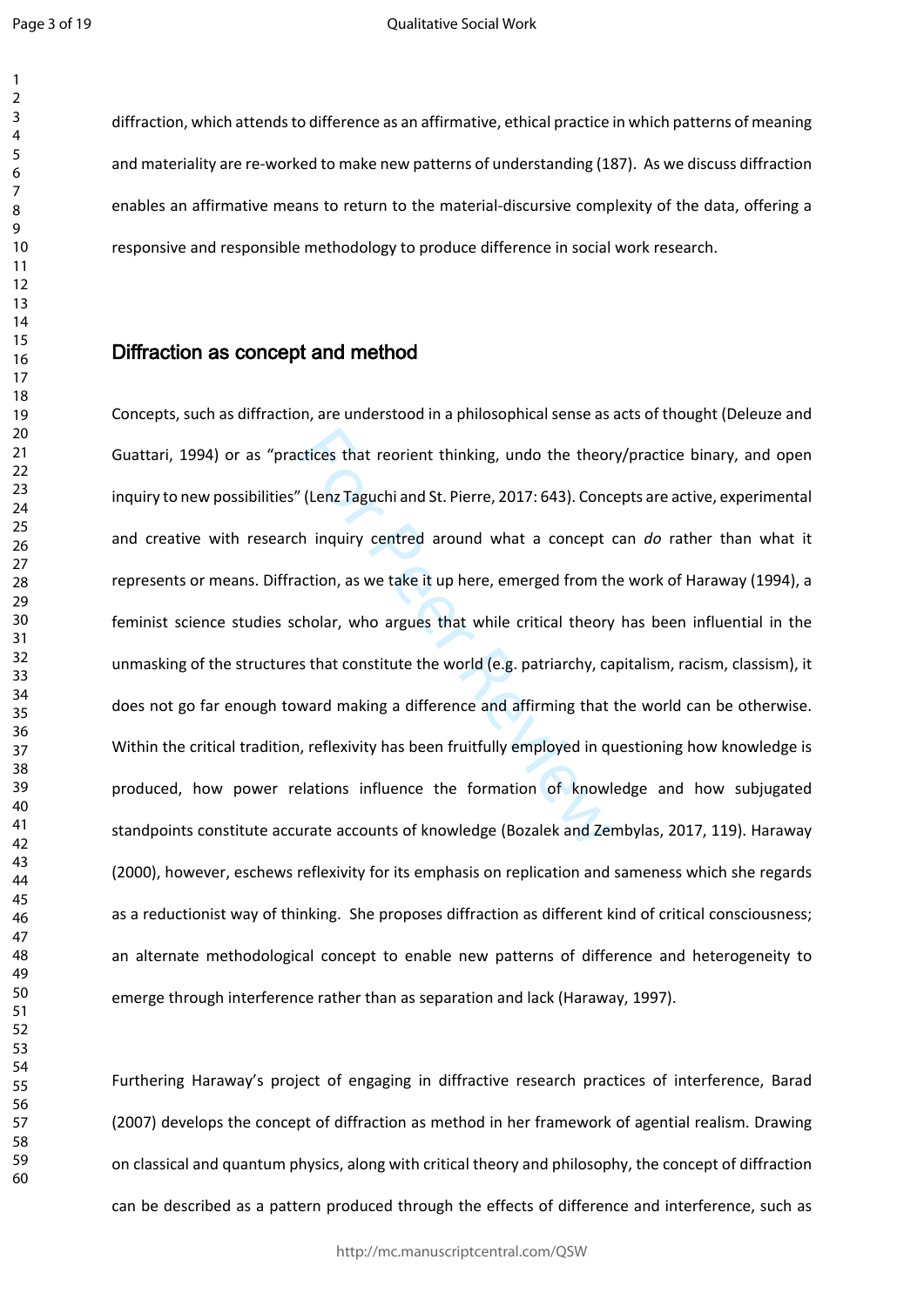diffraction, which attends to difference as an affirmative, ethical practice in which patterns of meaning and materiality are re-worked to make new patterns of understanding (187). As we discuss diffraction enables an affirmative means to return to the material-discursive complexity of the data, offering a responsive and responsible methodology to produce difference in social work research.

## **Diffraction as concept and method**

ctices that reorient thinking, undo the theor<br>
'(Lenz Taguchi and St. Pierre, 2017: 643). Conc<br>
h inquiry centred around what a concept<br>
ortion, as we take it up here, emerged from th<br>
ction, as we take it up here, emerged Concepts, such as diffraction, are understood in a philosophical sense as acts of thought (Deleuze and Guattari, 1994) or as "practices that reorient thinking, undo the theory/practice binary, and open inquiry to new possibilities" (Lenz Taguchi and St. Pierre, 2017: 643). Concepts are active, experimental and creative with research inquiry centred around what a concept can *do* rather than what it represents or means. Diffraction, as we take it up here, emerged from the work of Haraway (1994), a feminist science studies scholar, who argues that while critical theory has been influential in the unmasking of the structures that constitute the world (e.g. patriarchy, capitalism, racism, classism), it does not go far enough toward making a difference and affirming that the world can be otherwise. Within the critical tradition, reflexivity has been fruitfully employed in questioning how knowledge is produced, how power relations influence the formation of knowledge and how subjugated standpoints constitute accurate accounts of knowledge (Bozalek and Zembylas, 2017, 119). Haraway (2000), however, eschews reflexivity for its emphasis on replication and sameness which she regards as a reductionist way of thinking. She proposes diffraction as different kind of critical consciousness; an alternate methodological concept to enable new patterns of difference and heterogeneity to emerge through interference rather than as separation and lack (Haraway, 1997).

Furthering Haraway's project of engaging in diffractive research practices of interference, Barad (2007) develops the concept of diffraction as method in her framework of agential realism. Drawing on classical and quantum physics, along with critical theory and philosophy, the concept of diffraction can be described as a pattern produced through the effects of difference and interference, such as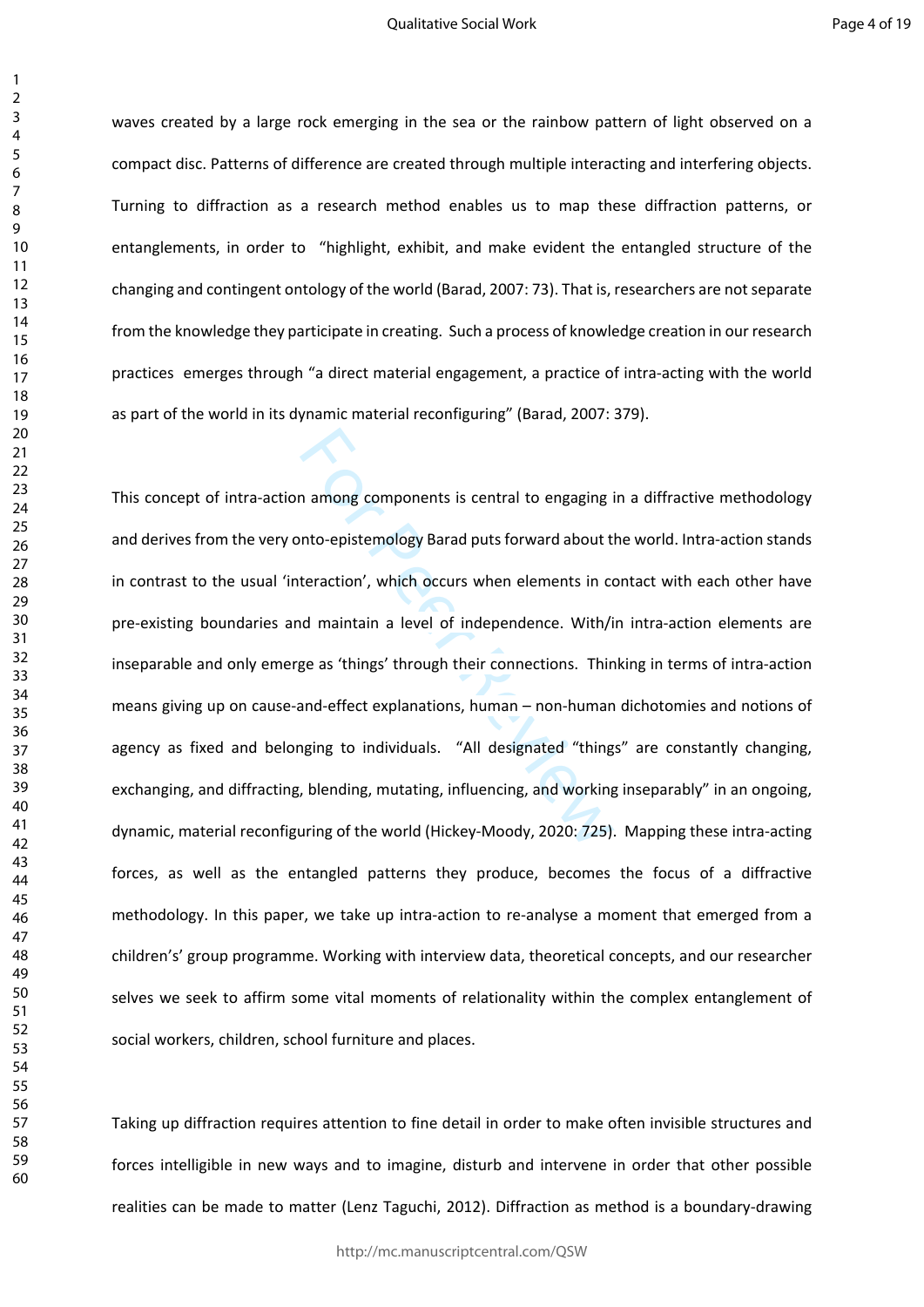waves created by a large rock emerging in the sea or the rainbow pattern of light observed on a compact disc. Patterns of difference are created through multiple interacting and interfering objects. Turning to diffraction as a research method enables us to map these diffraction patterns, or entanglements, in order to "highlight, exhibit, and make evident the entangled structure of the changing and contingent ontology of the world (Barad, 2007: 73). That is, researchers are not separate from the knowledge they participate in creating. Such a process of knowledge creation in our research practices emerges through "a direct material engagement, a practice of intra-acting with the world as part of the world in its dynamic material reconfiguring" (Barad, 2007: 379).

n among components is central to engaging into-epistemology Barad puts forward about t<br>teraction', which occurs when elements in conditional maintain a level of independence. With/if<br>ge as 'things' through their connection This concept of intra-action among components is central to engaging in a diffractive methodology and derives from the very onto-epistemology Barad puts forward about the world. Intra-action stands in contrast to the usual 'interaction', which occurs when elements in contact with each other have pre-existing boundaries and maintain a level of independence. With/in intra-action elements are inseparable and only emerge as 'things' through their connections. Thinking in terms of intra-action means giving up on cause-and-effect explanations, human – non-human dichotomies and notions of agency as fixed and belonging to individuals. "All designated "things" are constantly changing, exchanging, and diffracting, blending, mutating, influencing, and working inseparably" in an ongoing, dynamic, material reconfiguring of the world (Hickey-Moody, 2020: 725). Mapping these intra-acting forces, as well as the entangled patterns they produce, becomes the focus of a diffractive methodology. In this paper, we take up intra-action to re-analyse a moment that emerged from a children's' group programme. Working with interview data, theoretical concepts, and our researcher selves we seek to affirm some vital moments of relationality within the complex entanglement of social workers, children, school furniture and places.

Taking up diffraction requires attention to fine detail in order to make often invisible structures and forces intelligible in new ways and to imagine, disturb and intervene in order that other possible realities can be made to matter (Lenz Taguchi, 2012). Diffraction as method is a boundary-drawing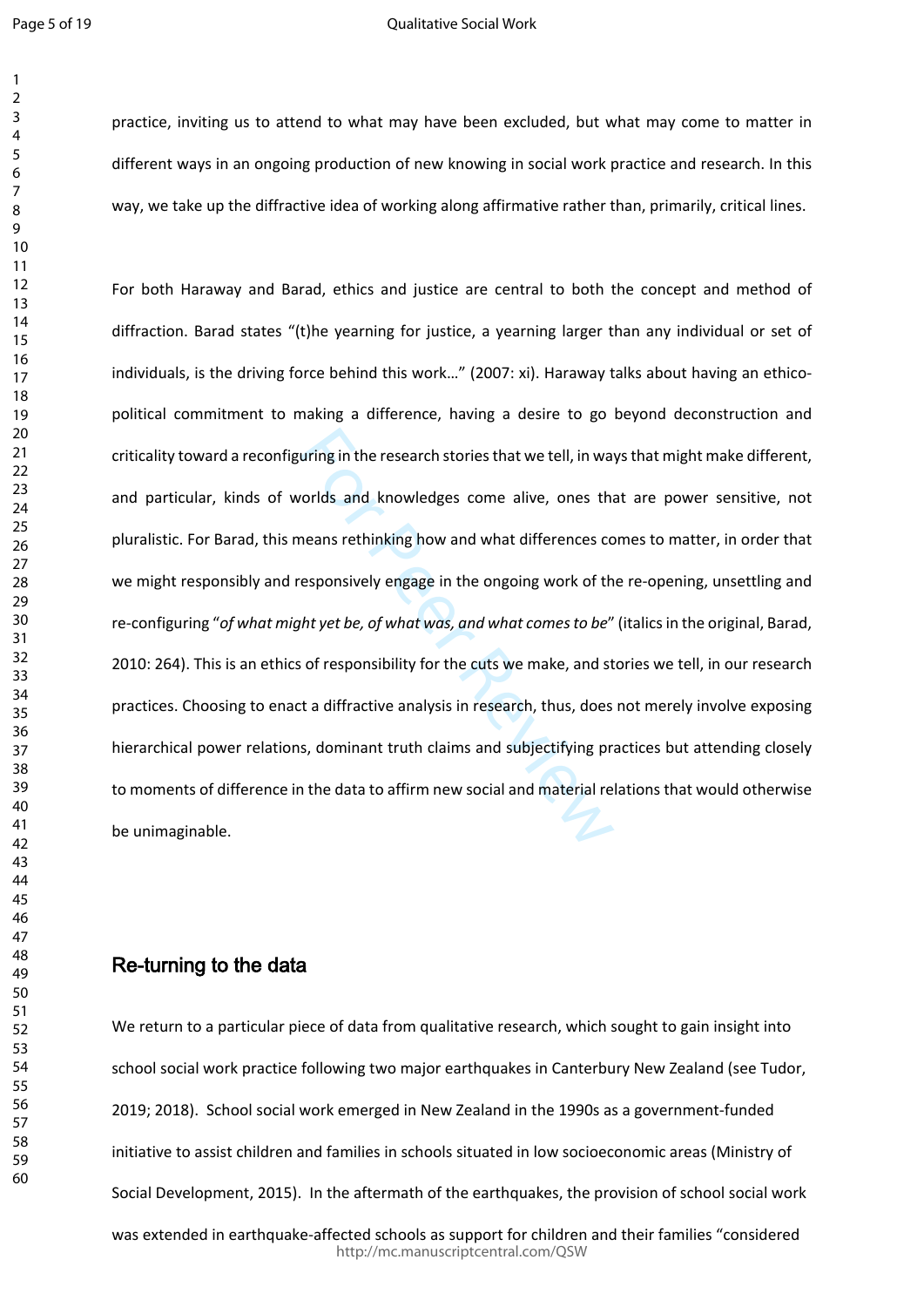#### Qualitative Social Work

practice, inviting us to attend to what may have been excluded, but what may come to matter in different ways in an ongoing production of new knowing in social work practice and research. In this way, we take up the diffractive idea of working along affirmative rather than, primarily, critical lines.

uring in the research stories that we tell, in ward worlds and knowledges come alive, ones than<br>eans rethinking how and what differences corresponsively engage in the ongoing work of the<br>ht yet be, of what was, and what co For both Haraway and Barad, ethics and justice are central to both the concept and method of diffraction. Barad states "(t)he yearning for justice, a yearning larger than any individual or set of individuals, is the driving force behind this work…" (2007: xi). Haraway talks about having an ethicopolitical commitment to making a difference, having a desire to go beyond deconstruction and criticality toward a reconfiguring in the research stories that we tell, in ways that might make different, and particular, kinds of worlds and knowledges come alive, ones that are power sensitive, not pluralistic. For Barad, this means rethinking how and what differences comes to matter, in order that we might responsibly and responsively engage in the ongoing work of the re-opening, unsettling and re-configuring "*of what might yet be, of what was, and what comes to be*" (italics in the original, Barad, 2010: 264). This is an ethics of responsibility for the cuts we make, and stories we tell, in our research practices. Choosing to enact a diffractive analysis in research, thus, does not merely involve exposing hierarchical power relations, dominant truth claims and subjectifying practices but attending closely to moments of difference in the data to affirm new social and material relations that would otherwise be unimaginable.

# **Re-turning to the data**

We return to a particular piece of data from qualitative research, which sought to gain insight into school social work practice following two major earthquakes in Canterbury New Zealand (see Tudor, 2019; 2018). School social work emerged in New Zealand in the 1990s as a government-funded initiative to assist children and families in schools situated in low socioeconomic areas (Ministry of Social Development, 2015). In the aftermath of the earthquakes, the provision of school social work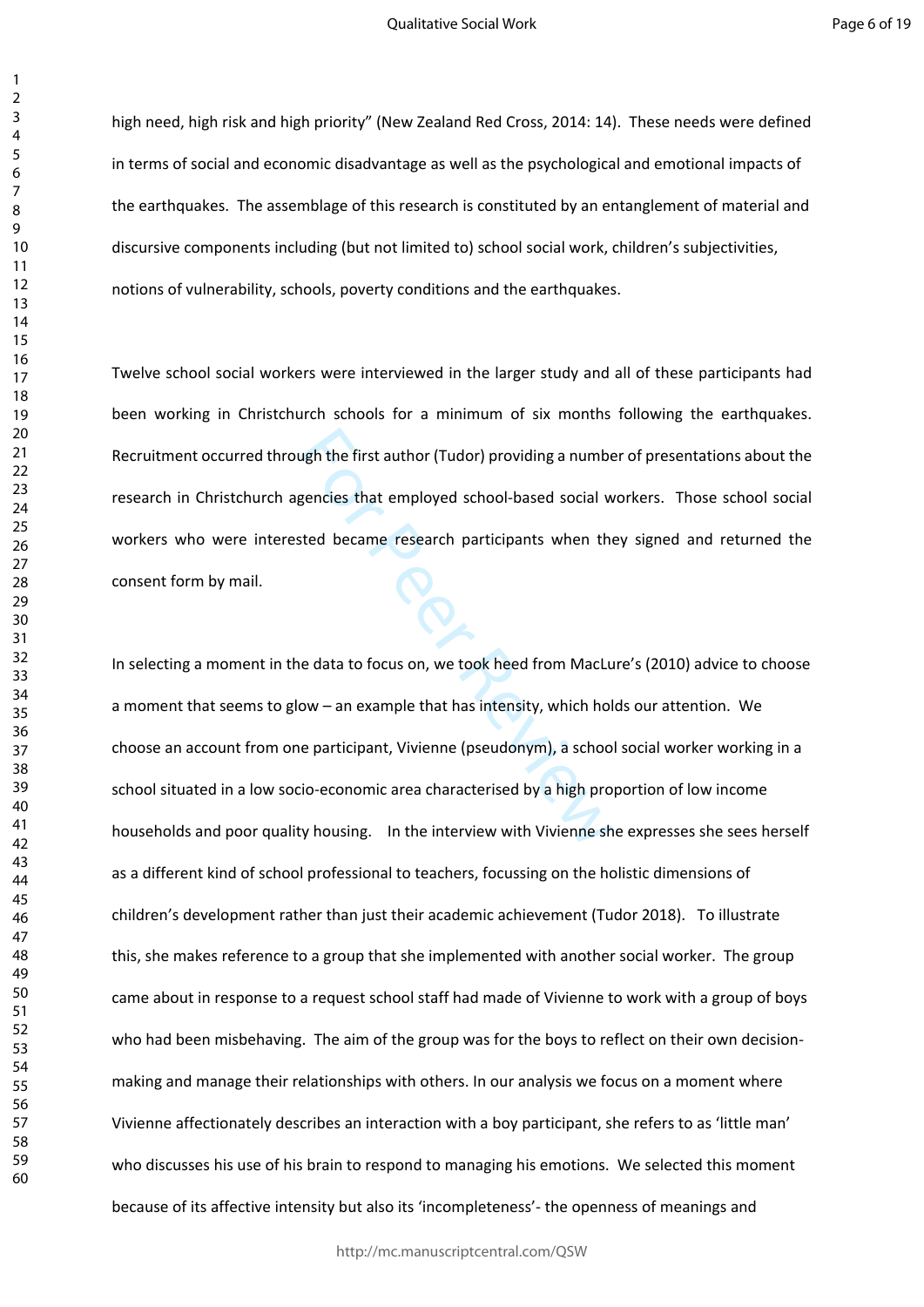high need, high risk and high priority" (New Zealand Red Cross, 2014: 14). These needs were defined in terms of social and economic disadvantage as well as the psychological and emotional impacts of the earthquakes. The assemblage of this research is constituted by an entanglement of material and discursive components including (but not limited to) school social work, children's subjectivities, notions of vulnerability, schools, poverty conditions and the earthquakes.

Twelve school social workers were interviewed in the larger study and all of these participants had been working in Christchurch schools for a minimum of six months following the earthquakes. Recruitment occurred through the first author (Tudor) providing a number of presentations about the research in Christchurch agencies that employed school-based social workers. Those school social workers who were interested became research participants when they signed and returned the consent form by mail.

ugh the first author (Tudor) providing a numbe<br>gencies that employed school-based social w<br>sted became research participants when the<br>sted became research participants when the<br>edata to focus on, we took heed from MacLu<br>ow In selecting a moment in the data to focus on, we took heed from MacLure's (2010) advice to choose a moment that seems to glow – an example that has intensity, which holds our attention. We choose an account from one participant, Vivienne (pseudonym), a school social worker working in a school situated in a low socio-economic area characterised by a high proportion of low income households and poor quality housing. In the interview with Vivienne she expresses she sees herself as a different kind of school professional to teachers, focussing on the holistic dimensions of children's development rather than just their academic achievement (Tudor 2018). To illustrate this, she makes reference to a group that she implemented with another social worker. The group came about in response to a request school staff had made of Vivienne to work with a group of boys who had been misbehaving. The aim of the group was for the boys to reflect on their own decisionmaking and manage their relationships with others. In our analysis we focus on a moment where Vivienne affectionately describes an interaction with a boy participant, she refers to as 'little man' who discusses his use of his brain to respond to managing his emotions. We selected this moment because of its affective intensity but also its 'incompleteness'- the openness of meanings and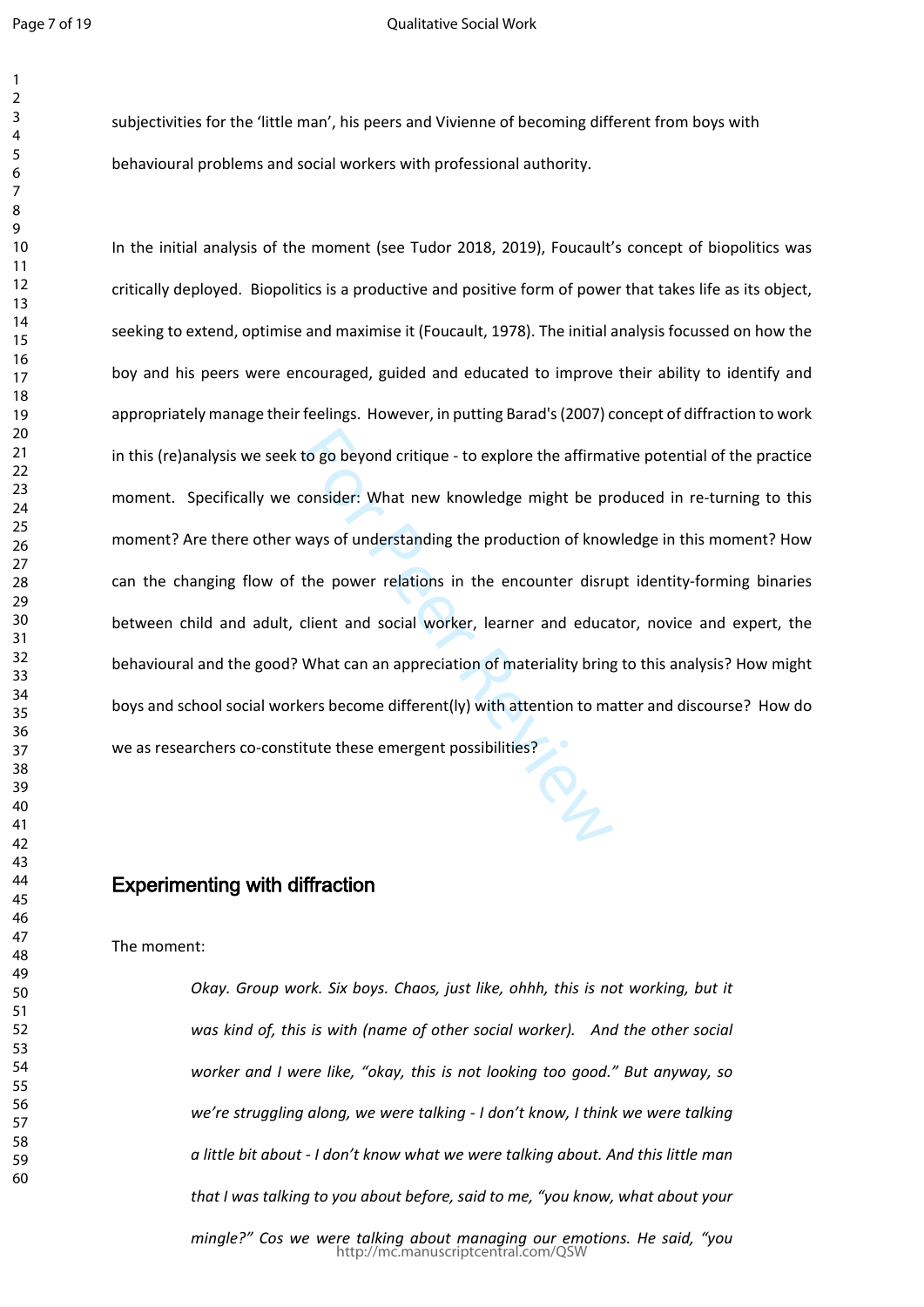#### Qualitative Social Work

subjectivities for the 'little man', his peers and Vivienne of becoming different from boys with behavioural problems and social workers with professional authority.

to go beyond critique - to explore the affirma<br>consider: What new knowledge might be pr<br>ways of understanding the production of know<br>the power relations in the encounter disru<br>client and social worker, learner and educa<br>Wh In the initial analysis of the moment (see Tudor 2018, 2019), Foucault's concept of biopolitics was critically deployed. Biopolitics is a productive and positive form of power that takes life as its object, seeking to extend, optimise and maximise it (Foucault, 1978). The initial analysis focussed on how the boy and his peers were encouraged, guided and educated to improve their ability to identify and appropriately manage their feelings. However, in putting Barad's (2007) concept of diffraction to work in this (re)analysis we seek to go beyond critique - to explore the affirmative potential of the practice moment. Specifically we consider: What new knowledge might be produced in re-turning to this moment? Are there other ways of understanding the production of knowledge in this moment? How can the changing flow of the power relations in the encounter disrupt identity-forming binaries between child and adult, client and social worker, learner and educator, novice and expert, the behavioural and the good? What can an appreciation of materiality bring to this analysis? How might boys and school social workers become different(ly) with attention to matter and discourse? How do we as researchers co-constitute these emergent possibilities?

# **Experimenting with diffraction**

#### The moment:

*Okay. Group work. Six boys. Chaos, just like, ohhh, this is not working, but it was kind of, this is with (name of other social worker). And the other social worker and I were like, "okay, this is not looking too good." But anyway, so we're struggling along, we were talking - I don't know, I think we were talking a little bit about - I don't know what we were talking about. And this little man that I was talking to you about before, said to me, "you know, what about your mingle?" Cos we were talking about managing our emotions. He said, "you*  http://mc.manuscriptcentral.com/QSW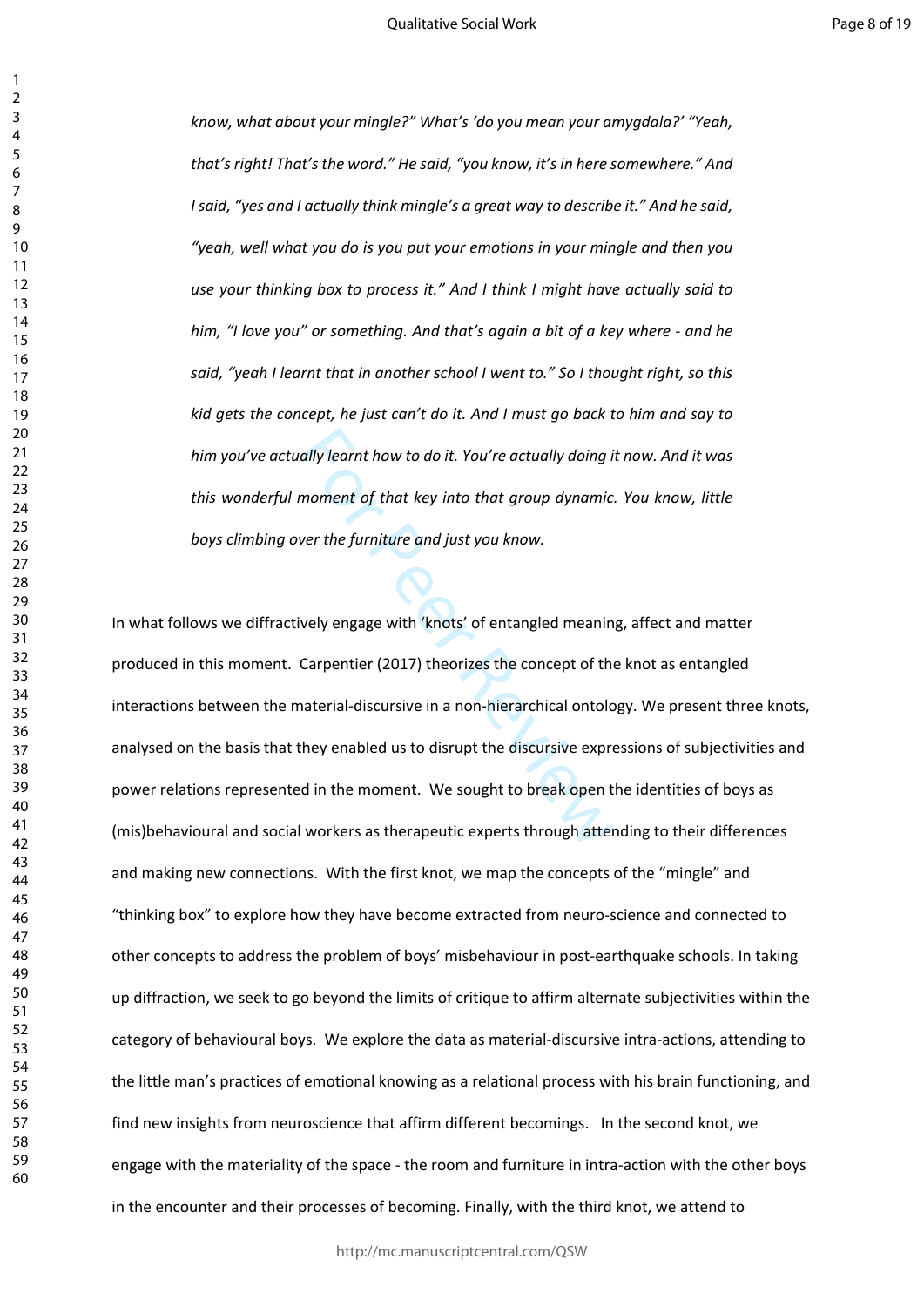*know, what about your mingle?" What's 'do you mean your amygdala?' "Yeah, that's right! That's the word." He said, "you know, it's in here somewhere." And I said, "yes and I actually think mingle's a great way to describe it." And he said, "yeah, well what you do is you put your emotions in your mingle and then you use your thinking box to process it." And I think I might have actually said to him, "I love you" or something. And that's again a bit of a key where - and he said, "yeah I learnt that in another school I went to." So I thought right, so this kid gets the concept, he just can't do it. And I must go back to him and say to him you've actually learnt how to do it. You're actually doing it now. And it was this wonderful moment of that key into that group dynamic. You know, little boys climbing over the furniture and just you know.* 

ally learnt how to do it. You're actually doing i<br>moment of that key into that group dynamic<br>ver the furniture and just you know.<br><br>vely engage with 'knots' of entangled meanin<br>Carpentier (2017) theorizes the concept of th<br> In what follows we diffractively engage with 'knots' of entangled meaning, affect and matter produced in this moment. Carpentier (2017) theorizes the concept of the knot as entangled interactions between the material-discursive in a non-hierarchical ontology. We present three knots, analysed on the basis that they enabled us to disrupt the discursive expressions of subjectivities and power relations represented in the moment. We sought to break open the identities of boys as (mis)behavioural and social workers as therapeutic experts through attending to their differences and making new connections. With the first knot, we map the concepts of the "mingle" and "thinking box" to explore how they have become extracted from neuro-science and connected to other concepts to address the problem of boys' misbehaviour in post-earthquake schools. In taking up diffraction, we seek to go beyond the limits of critique to affirm alternate subjectivities within the category of behavioural boys. We explore the data as material-discursive intra-actions, attending to the little man's practices of emotional knowing as a relational process with his brain functioning, and find new insights from neuroscience that affirm different becomings. In the second knot, we engage with the materiality of the space - the room and furniture in intra-action with the other boys in the encounter and their processes of becoming. Finally, with the third knot, we attend to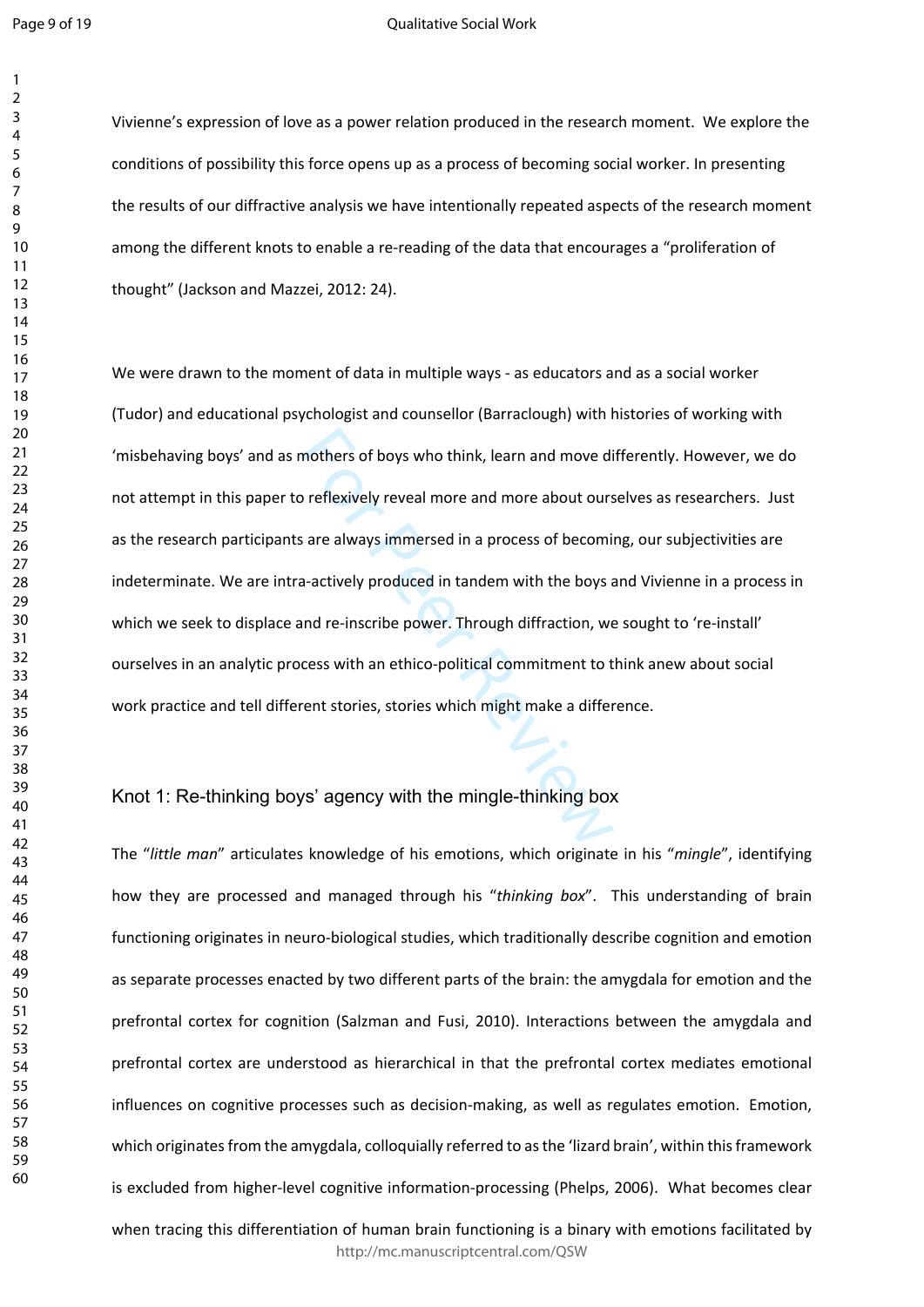#### Qualitative Social Work

Vivienne's expression of love as a power relation produced in the research moment. We explore the conditions of possibility this force opens up as a process of becoming social worker. In presenting the results of our diffractive analysis we have intentionally repeated aspects of the research moment among the different knots to enable a re-reading of the data that encourages a "proliferation of thought" (Jackson and Mazzei, 2012: 24).

mothers of boys who think, learn and move di<br>
Dividend process of becomic and the process of becomic<br>
Since and the process of becomic<br>
Since and re-inscribe power. Through diffraction, we<br>
class with an ethico-political c We were drawn to the moment of data in multiple ways - as educators and as a social worker (Tudor) and educational psychologist and counsellor (Barraclough) with histories of working with 'misbehaving boys' and as mothers of boys who think, learn and move differently. However, we do not attempt in this paper to reflexively reveal more and more about ourselves as researchers. Just as the research participants are always immersed in a process of becoming, our subjectivities are indeterminate. We are intra-actively produced in tandem with the boys and Vivienne in a process in which we seek to displace and re-inscribe power. Through diffraction, we sought to 're-install' ourselves in an analytic process with an ethico-political commitment to think anew about social work practice and tell different stories, stories which might make a difference.

# Knot 1: Re-thinking boys' agency with the mingle-thinking box

The "*little man*" articulates knowledge of his emotions, which originate in his "*mingle*", identifying how they are processed and managed through his "*thinking box*". This understanding of brain functioning originates in neuro-biological studies, which traditionally describe cognition and emotion as separate processes enacted by two different parts of the brain: the amygdala for emotion and the prefrontal cortex for cognition (Salzman and Fusi, 2010). Interactions between the amygdala and prefrontal cortex are understood as hierarchical in that the prefrontal cortex mediates emotional influences on cognitive processes such as decision-making, as well as regulates emotion. Emotion, which originates from the amygdala, colloquially referred to as the 'lizard brain', within this framework is excluded from higher-level cognitive information-processing (Phelps, 2006). What becomes clear

when tracing this differentiation of human brain functioning is a binary with emotions facilitated by http://mc.manuscriptcentral.com/QSW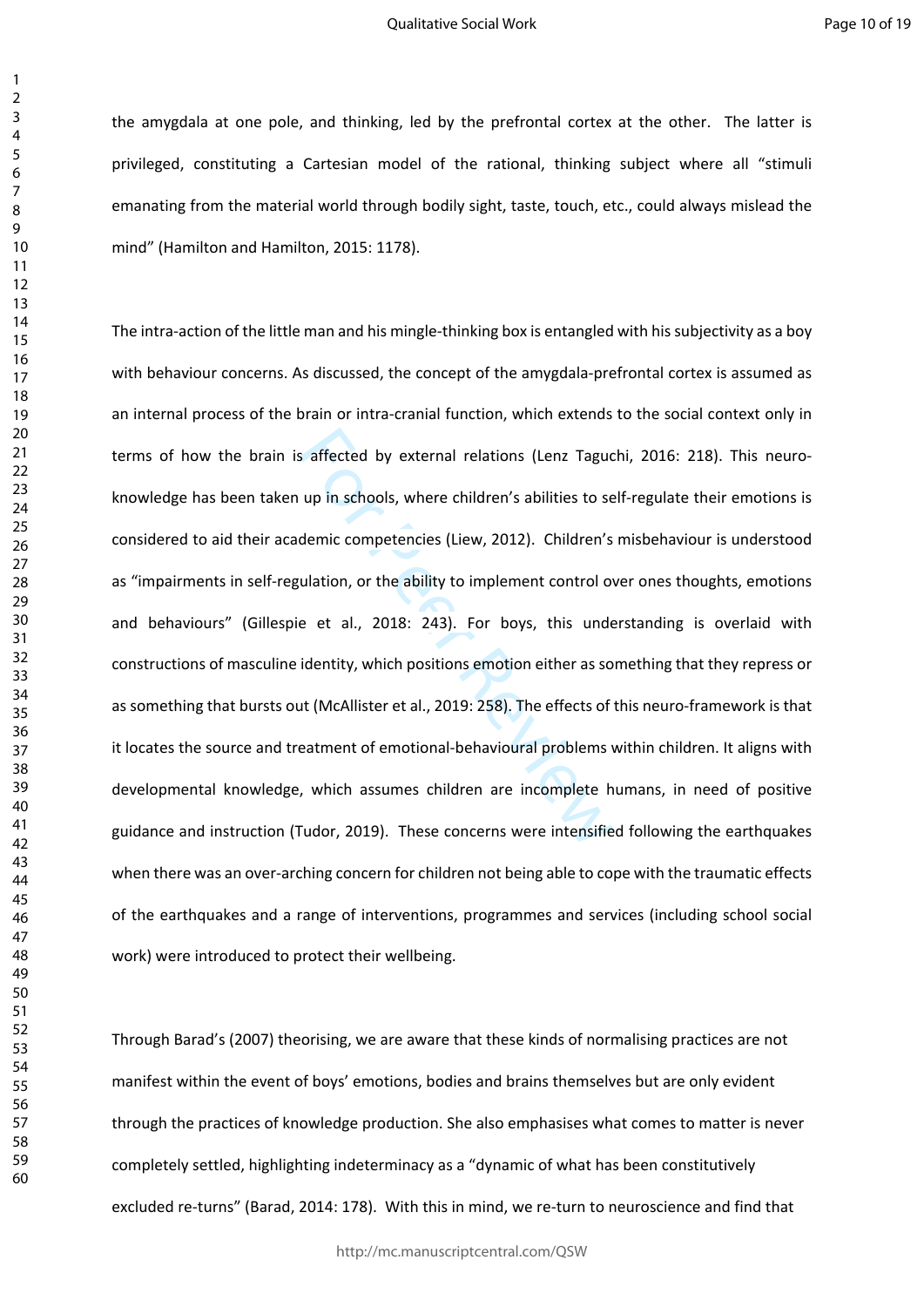the amygdala at one pole, and thinking, led by the prefrontal cortex at the other. The latter is privileged, constituting a Cartesian model of the rational, thinking subject where all "stimuli emanating from the material world through bodily sight, taste, touch, etc., could always mislead the mind" (Hamilton and Hamilton, 2015: 1178).

s affected by external relations (Lenz Taguc<br>up in schools, where children's abilities to se<br>demic competencies (Liew, 2012). Children's<br>ulation, or the ability to implement control of<br>e et al., 2018: 243). For boys, this The intra-action of the little man and his mingle-thinking box is entangled with his subjectivity as a boy with behaviour concerns. As discussed, the concept of the amygdala-prefrontal cortex is assumed as an internal process of the brain or intra-cranial function, which extends to the social context only in terms of how the brain is affected by external relations (Lenz Taguchi, 2016: 218). This neuroknowledge has been taken up in schools, where children's abilities to self-regulate their emotions is considered to aid their academic competencies (Liew, 2012). Children's misbehaviour is understood as "impairments in self-regulation, or the ability to implement control over ones thoughts, emotions and behaviours" (Gillespie et al., 2018: 243). For boys, this understanding is overlaid with constructions of masculine identity, which positions emotion either as something that they repress or as something that bursts out (McAllister et al., 2019: 258). The effects of this neuro-framework is that it locates the source and treatment of emotional-behavioural problems within children. It aligns with developmental knowledge, which assumes children are incomplete humans, in need of positive guidance and instruction (Tudor, 2019). These concerns were intensified following the earthquakes when there was an over-arching concern for children not being able to cope with the traumatic effects of the earthquakes and a range of interventions, programmes and services (including school social work) were introduced to protect their wellbeing.

Through Barad's (2007) theorising, we are aware that these kinds of normalising practices are not manifest within the event of boys' emotions, bodies and brains themselves but are only evident through the practices of knowledge production. She also emphasises what comes to matter is never completely settled, highlighting indeterminacy as a "dynamic of what has been constitutively excluded re-turns" (Barad, 2014: 178). With this in mind, we re-turn to neuroscience and find that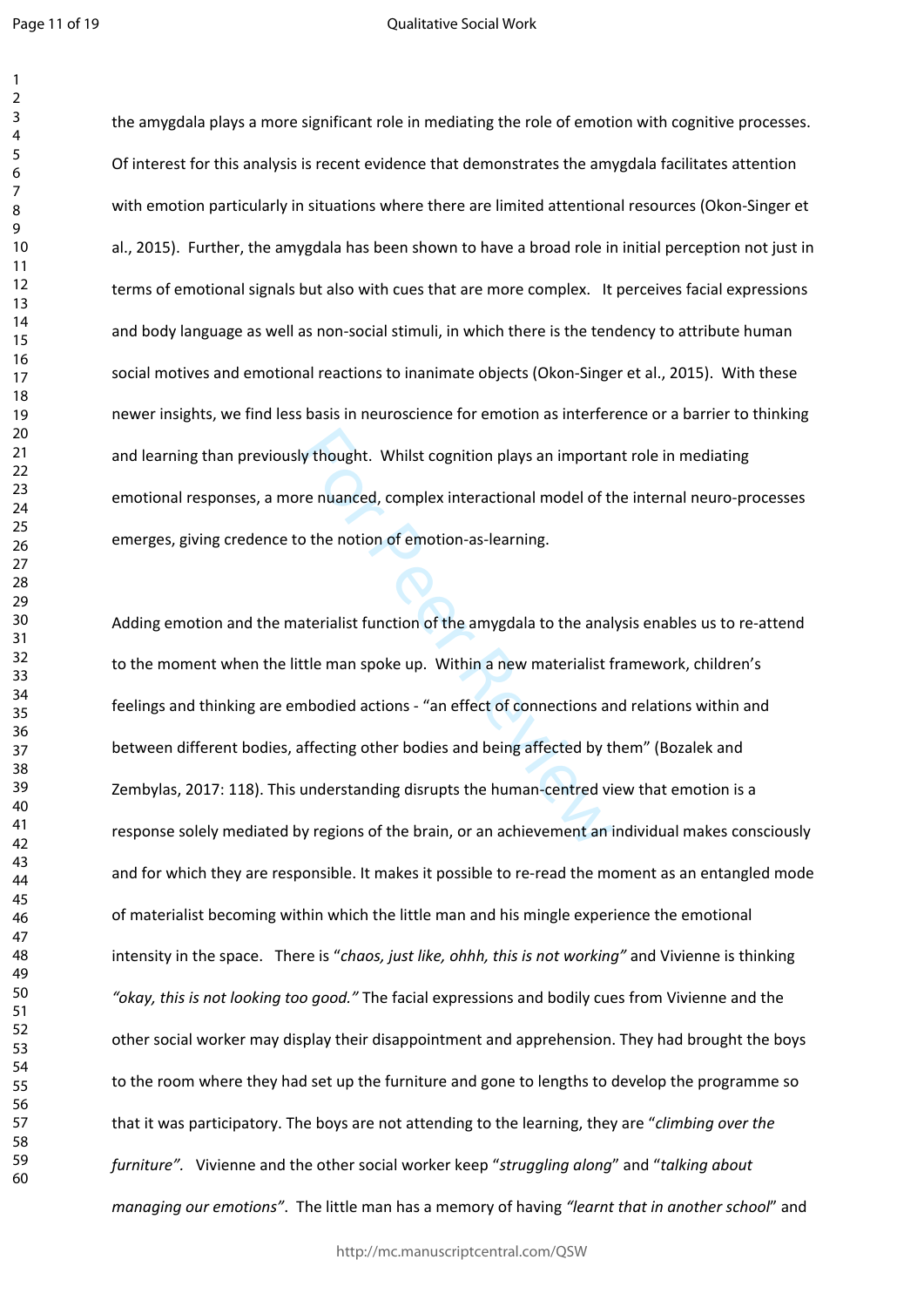$\mathbf{1}$ 

#### Qualitative Social Work

the amygdala plays a more significant role in mediating the role of emotion with cognitive processes. Of interest for this analysis is recent evidence that demonstrates the amygdala facilitates attention with emotion particularly in situations where there are limited attentional resources (Okon-Singer et al., 2015). Further, the amygdala has been shown to have a broad role in initial perception not just in terms of emotional signals but also with cues that are more complex. It perceives facial expressions and body language as well as non-social stimuli, in which there is the tendency to attribute human social motives and emotional reactions to inanimate objects (Okon-Singer et al., 2015). With these newer insights, we find less basis in neuroscience for emotion as interference or a barrier to thinking and learning than previously thought. Whilst cognition plays an important role in mediating emotional responses, a more nuanced, complex interactional model of the internal neuro-processes emerges, giving credence to the notion of emotion-as-learning.

ly thought. Whilst cognition plays an importa<br>re nuanced, complex interactional model of tl<br>o the notion of emotion-as-learning.<br>aterialist function of the amygdala to the anal<br>ttle man spoke up. Within a new materialist f Adding emotion and the materialist function of the amygdala to the analysis enables us to re-attend to the moment when the little man spoke up. Within a new materialist framework, children's feelings and thinking are embodied actions - "an effect of connections and relations within and between different bodies, affecting other bodies and being affected by them" (Bozalek and Zembylas, 2017: 118). This understanding disrupts the human-centred view that emotion is a response solely mediated by regions of the brain, or an achievement an individual makes consciously and for which they are responsible. It makes it possible to re-read the moment as an entangled mode of materialist becoming within which the little man and his mingle experience the emotional intensity in the space. There is "*chaos, just like, ohhh, this is not working"* and Vivienne is thinking *"okay, this is not looking too good."* The facial expressions and bodily cues from Vivienne and the other social worker may display their disappointment and apprehension. They had brought the boys to the room where they had set up the furniture and gone to lengths to develop the programme so that it was participatory. The boys are not attending to the learning, they are "*climbing over the furniture".* Vivienne and the other social worker keep "*struggling along*" and "*talking about managing our emotions"*. The little man has a memory of having *"learnt that in another school*" and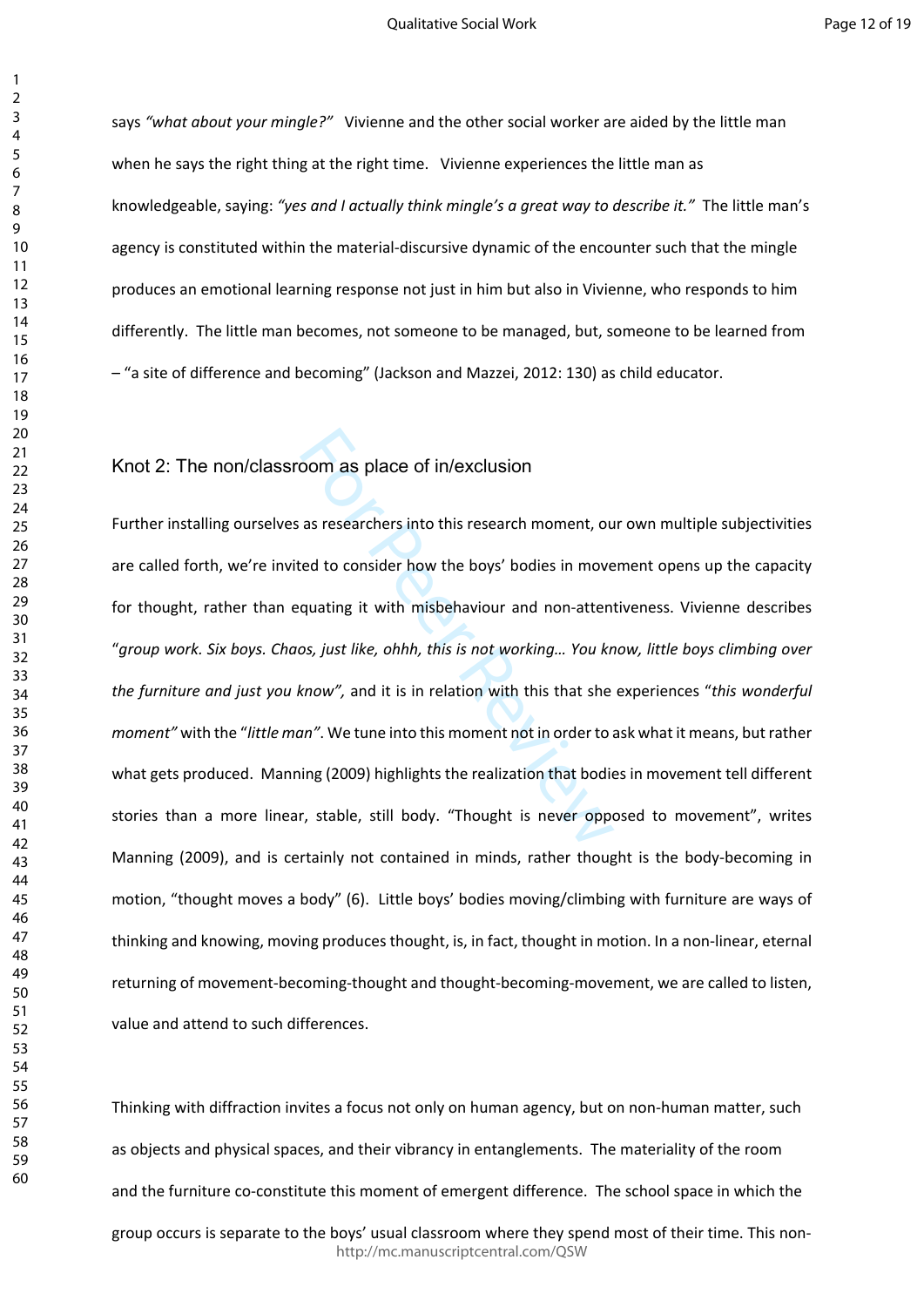says *"what about your mingle?"* Vivienne and the other social worker are aided by the little man when he says the right thing at the right time. Vivienne experiences the little man as knowledgeable, saying: *"yes and I actually think mingle's a great way to describe it."* The little man's agency is constituted within the material-discursive dynamic of the encounter such that the mingle produces an emotional learning response not just in him but also in Vivienne, who responds to him differently. The little man becomes, not someone to be managed, but, someone to be learned from – "a site of difference and becoming" (Jackson and Mazzei, 2012: 130) as child educator.

### Knot 2: The non/classroom as place of in/exclusion

oom as place of in/exclusion<br>as researchers into this research moment, ou<br>red to consider how the boys' bodies in move<br>quating it with misbehaviour and non-atten<br>os, just like, ohhh, this is not working... You kr<br>know", an Further installing ourselves as researchers into this research moment, our own multiple subjectivities are called forth, we're invited to consider how the boys' bodies in movement opens up the capacity for thought, rather than equating it with misbehaviour and non-attentiveness. Vivienne describes "*group work. Six boys. Chaos, just like, ohhh, this is not working… You know, little boys climbing over the furniture and just you know",* and it is in relation with this that she experiences "*this wonderful moment"* with the "*little man"*. We tune into this moment not in order to ask what it means, but rather what gets produced. Manning (2009) highlights the realization that bodies in movement tell different stories than a more linear, stable, still body. "Thought is never opposed to movement", writes Manning (2009), and is certainly not contained in minds, rather thought is the body-becoming in motion, "thought moves a body" (6). Little boys' bodies moving/climbing with furniture are ways of thinking and knowing, moving produces thought, is, in fact, thought in motion. In a non-linear, eternal returning of movement-becoming-thought and thought-becoming-movement, we are called to listen, value and attend to such differences.

Thinking with diffraction invites a focus not only on human agency, but on non-human matter, such as objects and physical spaces, and their vibrancy in entanglements. The materiality of the room and the furniture co-constitute this moment of emergent difference. The school space in which the group occurs is separate to the boys' usual classroom where they spend most of their time. This non-

http://mc.manuscriptcentral.com/QSW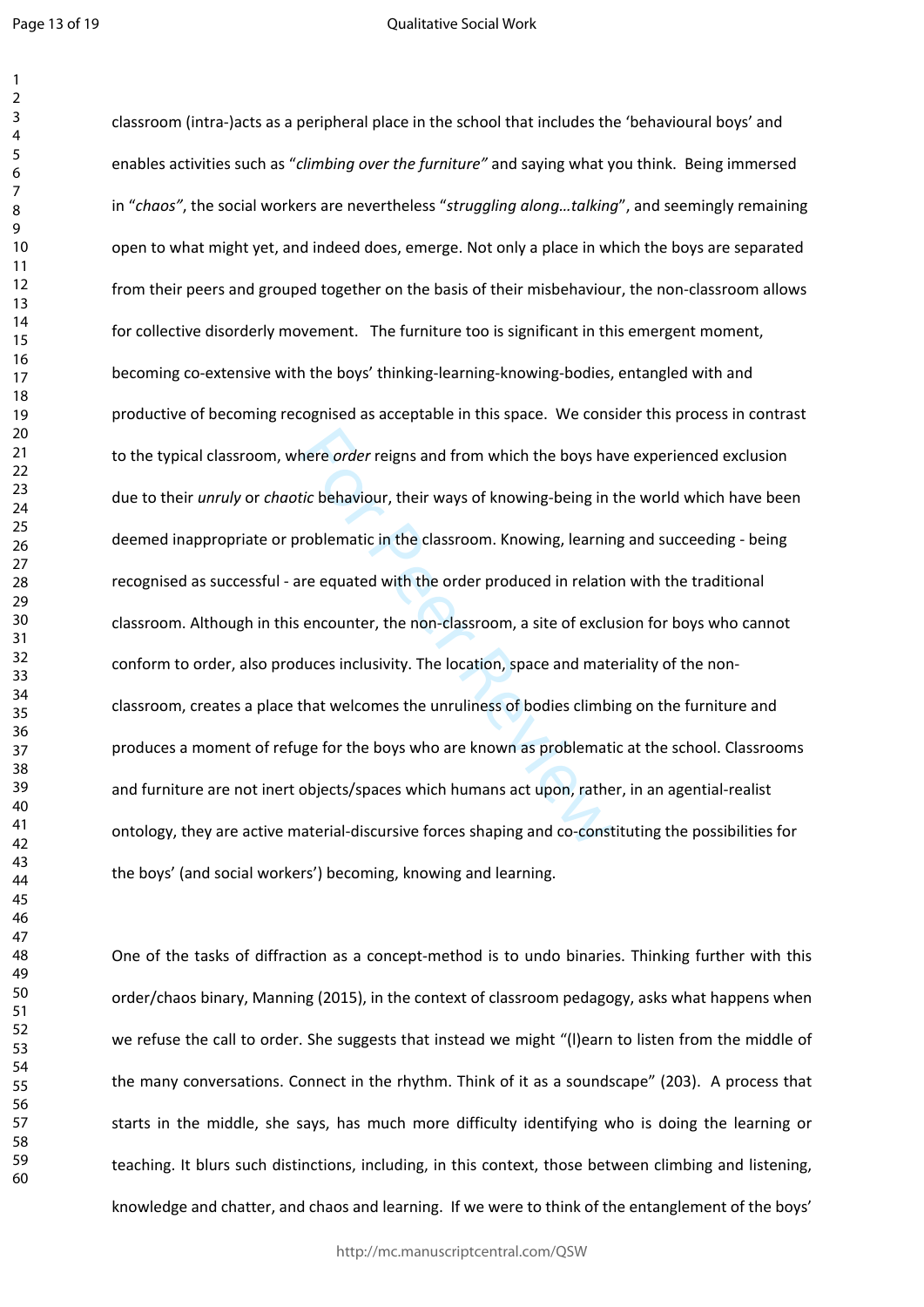Page 13 of 19

 $\mathbf{1}$ 

#### Qualitative Social Work

here *order* reigns and from which the boys hat<br>tic behaviour, their ways of knowing-being in<br>roblematic in the classroom. Knowing, learnin<br>re equated with the order produced in relatic<br>encounter, the non-classroom, a site classroom (intra-)acts as a peripheral place in the school that includes the 'behavioural boys' and enables activities such as "*climbing over the furniture"* and saying what you think. Being immersed in "*chaos"*, the social workers are nevertheless "*struggling along…talking*", and seemingly remaining open to what might yet, and indeed does, emerge. Not only a place in which the boys are separated from their peers and grouped together on the basis of their misbehaviour, the non-classroom allows for collective disorderly movement. The furniture too is significant in this emergent moment, becoming co-extensive with the boys' thinking-learning-knowing-bodies, entangled with and productive of becoming recognised as acceptable in this space. We consider this process in contrast to the typical classroom, where *order* reigns and from which the boys have experienced exclusion due to their *unruly* or *chaotic* behaviour, their ways of knowing-being in the world which have been deemed inappropriate or problematic in the classroom. Knowing, learning and succeeding - being recognised as successful - are equated with the order produced in relation with the traditional classroom. Although in this encounter, the non-classroom, a site of exclusion for boys who cannot conform to order, also produces inclusivity. The location, space and materiality of the nonclassroom, creates a place that welcomes the unruliness of bodies climbing on the furniture and produces a moment of refuge for the boys who are known as problematic at the school. Classrooms and furniture are not inert objects/spaces which humans act upon, rather, in an agential-realist ontology, they are active material-discursive forces shaping and co-constituting the possibilities for the boys' (and social workers') becoming, knowing and learning.

One of the tasks of diffraction as a concept-method is to undo binaries. Thinking further with this order/chaos binary, Manning (2015), in the context of classroom pedagogy, asks what happens when we refuse the call to order. She suggests that instead we might "(l)earn to listen from the middle of the many conversations. Connect in the rhythm. Think of it as a soundscape" (203). A process that starts in the middle, she says, has much more difficulty identifying who is doing the learning or teaching. It blurs such distinctions, including, in this context, those between climbing and listening, knowledge and chatter, and chaos and learning. If we were to think of the entanglement of the boys'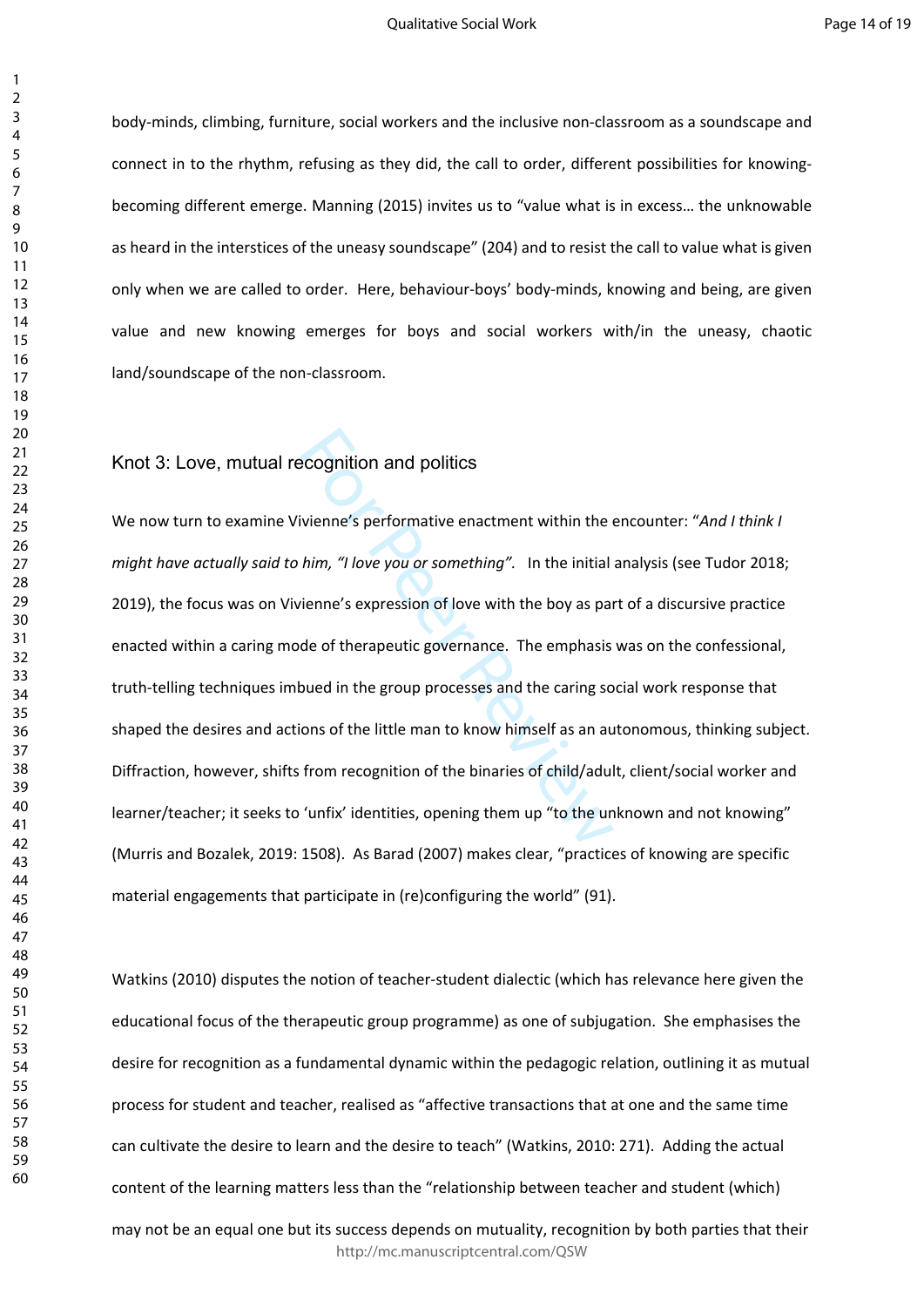body-minds, climbing, furniture, social workers and the inclusive non-classroom as a soundscape and connect in to the rhythm, refusing as they did, the call to order, different possibilities for knowingbecoming different emerge. Manning (2015) invites us to "value what is in excess… the unknowable as heard in the interstices of the uneasy soundscape" (204) and to resist the call to value what is given only when we are called to order. Here, behaviour-boys' body-minds, knowing and being, are given value and new knowing emerges for boys and social workers with/in the uneasy, chaotic land/soundscape of the non-classroom.

### Knot 3: Love, mutual recognition and politics

Experiment and politics<br>ivienne's performative enactment within the ending, "I love you or something". In the initial<br>vienne's expression of love with the boy as parade of therapeutic governance. The emphasis<br>bued in the g We now turn to examine Vivienne's performative enactment within the encounter: "*And I think I might have actually said to him, "I love you or something".* In the initial analysis (see Tudor 2018; 2019), the focus was on Vivienne's expression of love with the boy as part of a discursive practice enacted within a caring mode of therapeutic governance. The emphasis was on the confessional, truth-telling techniques imbued in the group processes and the caring social work response that shaped the desires and actions of the little man to know himself as an autonomous, thinking subject. Diffraction, however, shifts from recognition of the binaries of child/adult, client/social worker and learner/teacher; it seeks to 'unfix' identities, opening them up "to the unknown and not knowing" (Murris and Bozalek, 2019: 1508). As Barad (2007) makes clear, "practices of knowing are specific material engagements that participate in (re)configuring the world" (91).

Watkins (2010) disputes the notion of teacher-student dialectic (which has relevance here given the educational focus of the therapeutic group programme) as one of subjugation. She emphasises the desire for recognition as a fundamental dynamic within the pedagogic relation, outlining it as mutual process for student and teacher, realised as "affective transactions that at one and the same time can cultivate the desire to learn and the desire to teach" (Watkins, 2010: 271). Adding the actual content of the learning matters less than the "relationship between teacher and student (which) may not be an equal one but its success depends on mutuality, recognition by both parties that their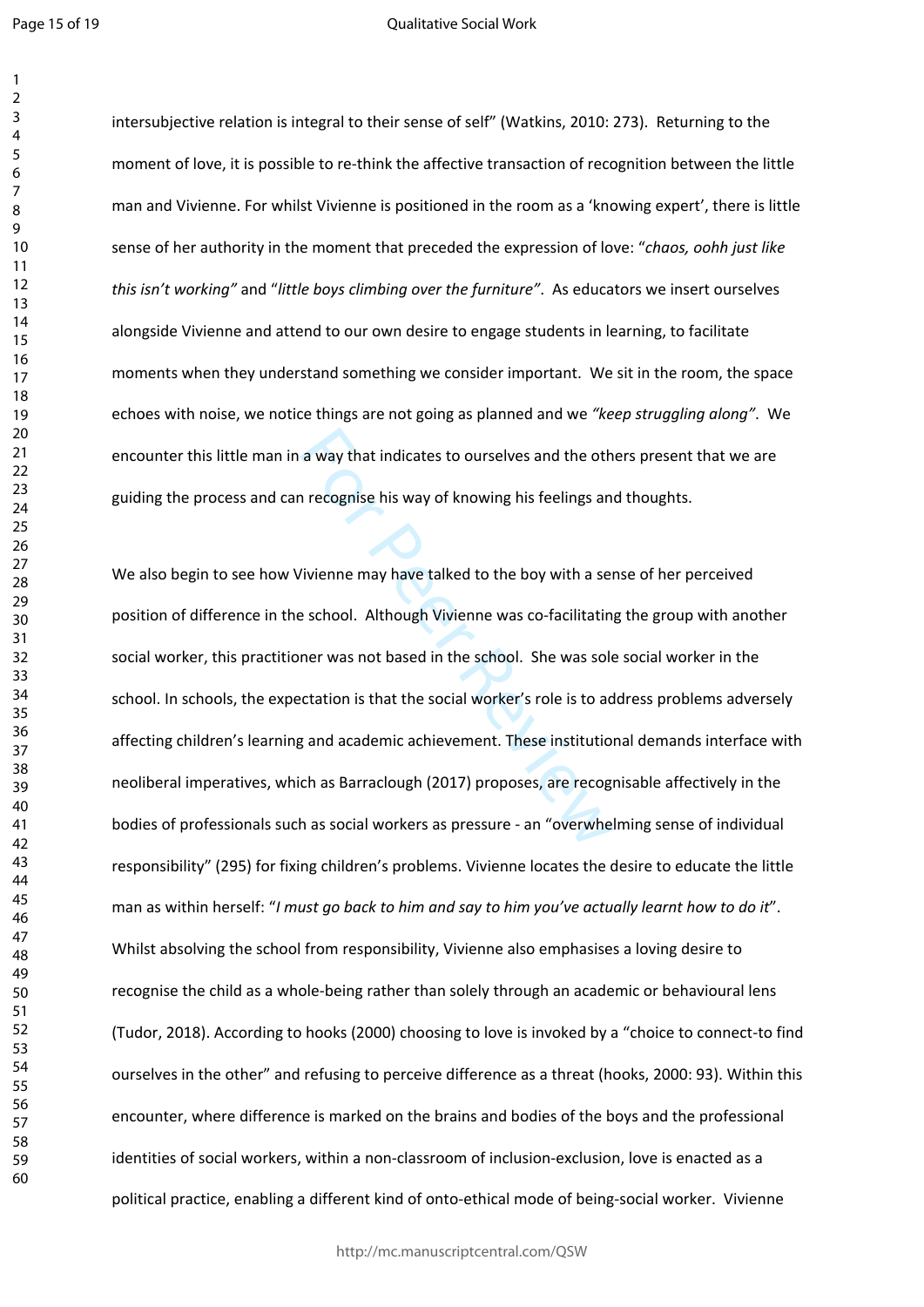$\mathbf{1}$ 

#### Qualitative Social Work

intersubjective relation is integral to their sense of self" (Watkins, 2010: 273). Returning to the moment of love, it is possible to re-think the affective transaction of recognition between the little man and Vivienne. For whilst Vivienne is positioned in the room as a 'knowing expert', there is little sense of her authority in the moment that preceded the expression of love: "*chaos, oohh just like this isn't working"* and "*little boys climbing over the furniture"*. As educators we insert ourselves alongside Vivienne and attend to our own desire to engage students in learning, to facilitate moments when they understand something we consider important. We sit in the room, the space echoes with noise, we notice things are not going as planned and we *"keep struggling along"*. We encounter this little man in a way that indicates to ourselves and the others present that we are guiding the process and can recognise his way of knowing his feelings and thoughts.

a way that indicates to ourselves and the oth<br>
in recognise his way of knowing his feelings an<br>
in recognise his way of knowing his feelings an<br>
in reviewed the boy with a set<br>
in reviewed in the school. She was sole<br>
in t We also begin to see how Vivienne may have talked to the boy with a sense of her perceived position of difference in the school. Although Vivienne was co-facilitating the group with another social worker, this practitioner was not based in the school. She was sole social worker in the school. In schools, the expectation is that the social worker's role is to address problems adversely affecting children's learning and academic achievement. These institutional demands interface with neoliberal imperatives, which as Barraclough (2017) proposes, are recognisable affectively in the bodies of professionals such as social workers as pressure - an "overwhelming sense of individual responsibility" (295) for fixing children's problems. Vivienne locates the desire to educate the little man as within herself: "*I must go back to him and say to him you've actually learnt how to do it*". Whilst absolving the school from responsibility, Vivienne also emphasises a loving desire to recognise the child as a whole-being rather than solely through an academic or behavioural lens (Tudor, 2018). According to hooks (2000) choosing to love is invoked by a "choice to connect-to find ourselves in the other" and refusing to perceive difference as a threat (hooks, 2000: 93). Within this encounter, where difference is marked on the brains and bodies of the boys and the professional identities of social workers, within a non-classroom of inclusion-exclusion, love is enacted as a political practice, enabling a different kind of onto-ethical mode of being-social worker. Vivienne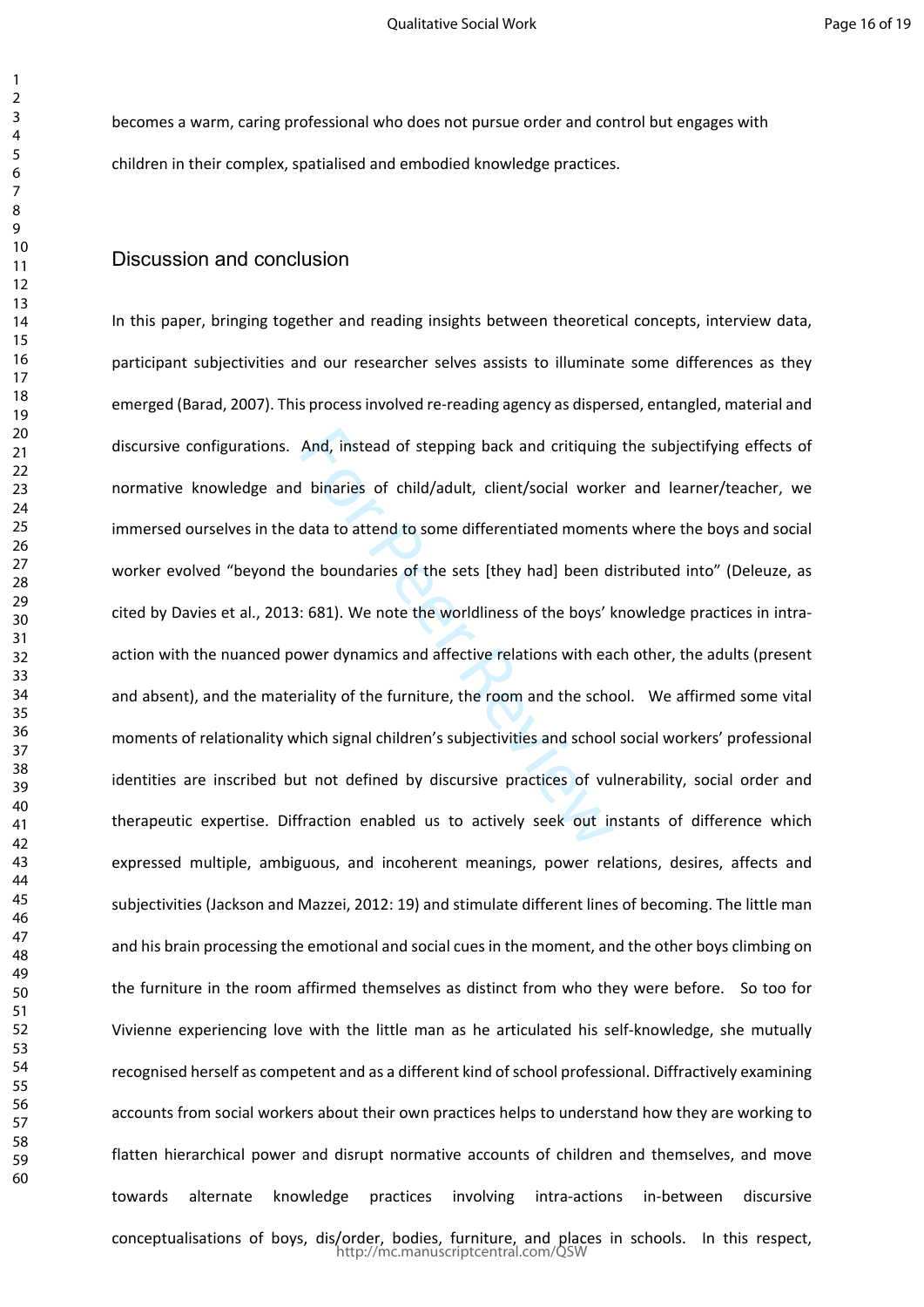becomes a warm, caring professional who does not pursue order and control but engages with children in their complex, spatialised and embodied knowledge practices.

### Discussion and conclusion

And, instead of stepping back and critiquing<br>I binaries of child/adult, client/social worked<br>ata to attend to some differentiated momen<br>he boundaries of the sets [they had] been d<br>: 681). We note the worldliness of the boy In this paper, bringing together and reading insights between theoretical concepts, interview data, participant subjectivities and our researcher selves assists to illuminate some differences as they emerged (Barad, 2007). This process involved re-reading agency as dispersed, entangled, material and discursive configurations. And, instead of stepping back and critiquing the subjectifying effects of normative knowledge and binaries of child/adult, client/social worker and learner/teacher, we immersed ourselves in the data to attend to some differentiated moments where the boys and social worker evolved "beyond the boundaries of the sets [they had] been distributed into" (Deleuze, as cited by Davies et al., 2013: 681). We note the worldliness of the boys' knowledge practices in intraaction with the nuanced power dynamics and affective relations with each other, the adults (present and absent), and the materiality of the furniture, the room and the school. We affirmed some vital moments of relationality which signal children's subjectivities and school social workers' professional identities are inscribed but not defined by discursive practices of vulnerability, social order and therapeutic expertise. Diffraction enabled us to actively seek out instants of difference which expressed multiple, ambiguous, and incoherent meanings, power relations, desires, affects and subjectivities (Jackson and Mazzei, 2012: 19) and stimulate different lines of becoming. The little man and his brain processing the emotional and social cues in the moment, and the other boys climbing on the furniture in the room affirmed themselves as distinct from who they were before. So too for Vivienne experiencing love with the little man as he articulated his self-knowledge, she mutually recognised herself as competent and as a different kind of school professional. Diffractively examining accounts from social workers about their own practices helps to understand how they are working to flatten hierarchical power and disrupt normative accounts of children and themselves, and move towards alternate knowledge practices involving intra-actions in-between discursive conceptualisations of boys, dis/order, bodies, furniture, and places in schools. In this respect, http://mc.manuscriptcentral.com/QSW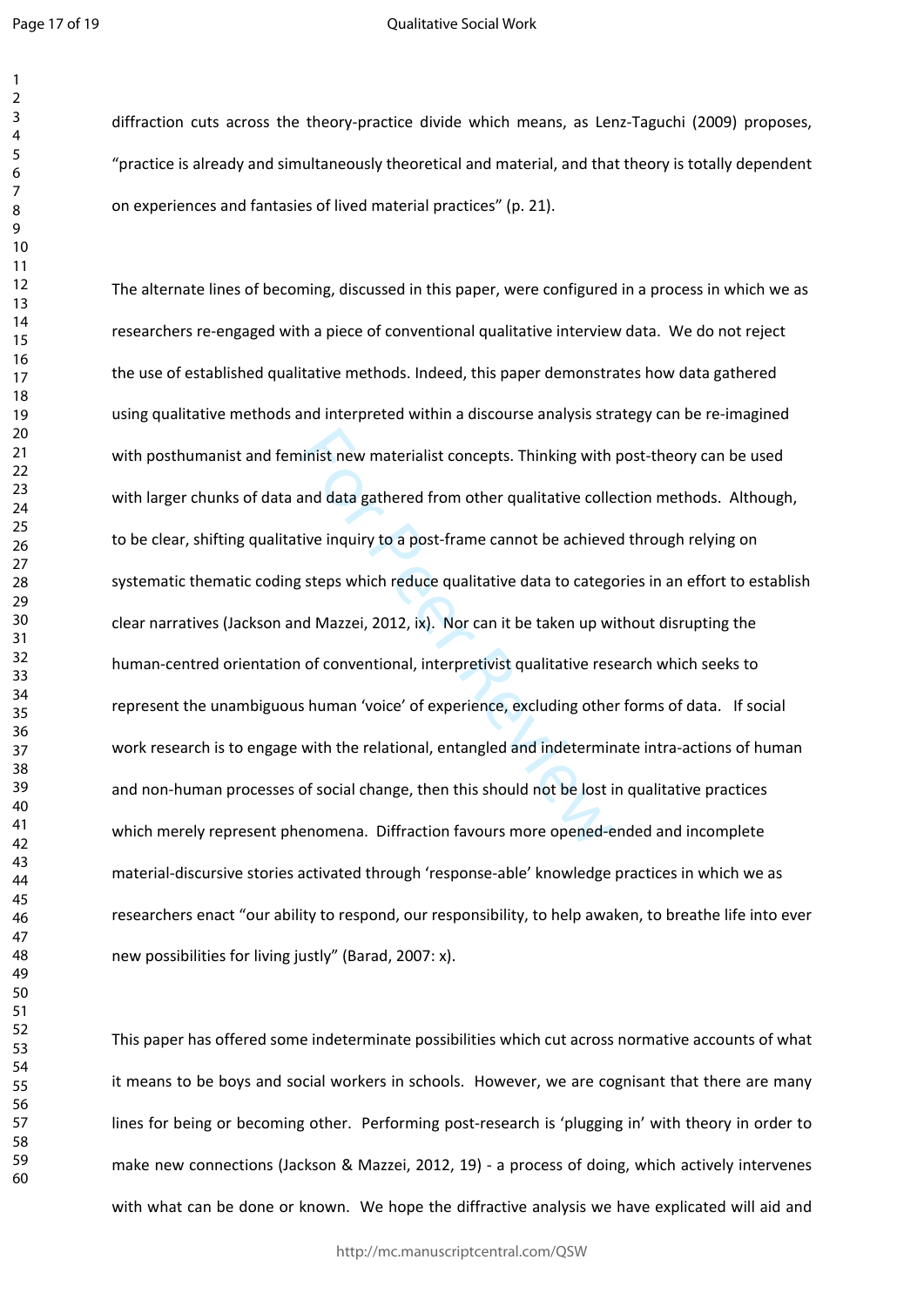$\mathbf{1}$  $\overline{2}$  $\overline{4}$  $\overline{7}$  $\mathsf{Q}$ 

#### Qualitative Social Work

diffraction cuts across the theory-practice divide which means, as Lenz-Taguchi (2009) proposes, "practice is already and simultaneously theoretical and material, and that theory is totally dependent on experiences and fantasies of lived material practices" (p. 21).

ninist new materialist concepts. Thinking with<br>and data gathered from other qualitative colle<br>tive inquiry to a post-frame cannot be achieve<br>s steps which reduce qualitative data to categor<br>and Mazzei, 2012, ix). Nor can i The alternate lines of becoming, discussed in this paper, were configured in a process in which we as researchers re-engaged with a piece of conventional qualitative interview data. We do not reject the use of established qualitative methods. Indeed, this paper demonstrates how data gathered using qualitative methods and interpreted within a discourse analysis strategy can be re-imagined with posthumanist and feminist new materialist concepts. Thinking with post-theory can be used with larger chunks of data and data gathered from other qualitative collection methods. Although, to be clear, shifting qualitative inquiry to a post-frame cannot be achieved through relying on systematic thematic coding steps which reduce qualitative data to categories in an effort to establish clear narratives (Jackson and Mazzei, 2012, ix). Nor can it be taken up without disrupting the human-centred orientation of conventional, interpretivist qualitative research which seeks to represent the unambiguous human 'voice' of experience, excluding other forms of data. If social work research is to engage with the relational, entangled and indeterminate intra-actions of human and non-human processes of social change, then this should not be lost in qualitative practices which merely represent phenomena. Diffraction favours more opened-ended and incomplete material-discursive stories activated through 'response-able' knowledge practices in which we as researchers enact "our ability to respond, our responsibility, to help awaken, to breathe life into ever new possibilities for living justly" (Barad, 2007: x).

This paper has offered some indeterminate possibilities which cut across normative accounts of what it means to be boys and social workers in schools. However, we are cognisant that there are many lines for being or becoming other. Performing post-research is 'plugging in' with theory in order to make new connections (Jackson & Mazzei, 2012, 19) - a process of doing, which actively intervenes with what can be done or known. We hope the diffractive analysis we have explicated will aid and

http://mc.manuscriptcentral.com/QSW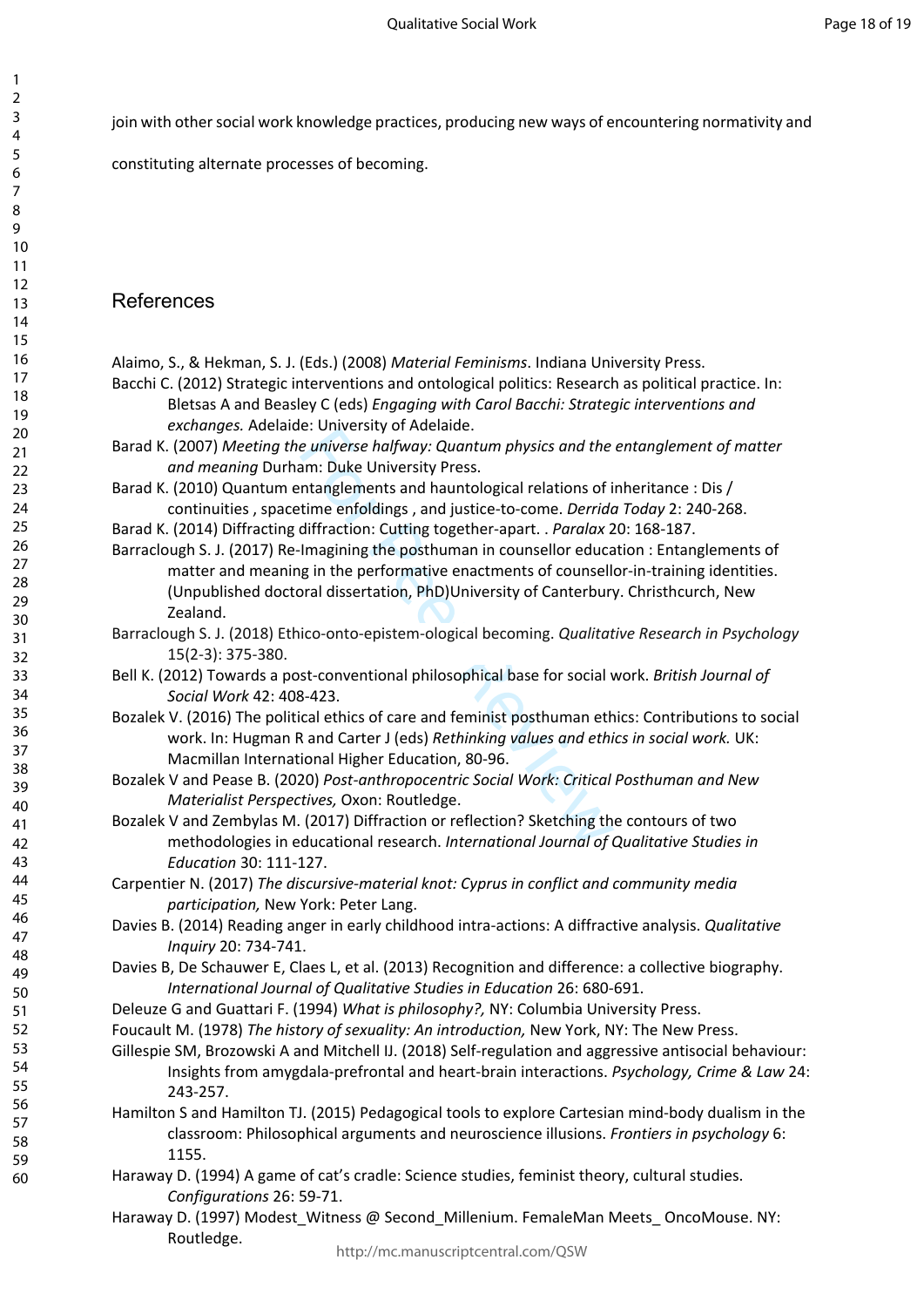join with other social work knowledge practices, producing new ways of encountering normativity and

constituting alternate processes of becoming.

# References

- Alaimo, S., & Hekman, S. J. (Eds.) (2008) *Material Feminisms*. Indiana University Press.
- Bacchi C. (2012) Strategic interventions and ontological politics: Research as political practice. In: Bletsas A and Beasley C (eds) *Engaging with Carol Bacchi: Strategic interventions and exchanges.* Adelaide: University of Adelaide.
- Barad K. (2007) *Meeting the universe halfway: Quantum physics and the entanglement of matter and meaning* Durham: Duke University Press.
- Barad K. (2010) Quantum entanglements and hauntological relations of inheritance : Dis / continuities , spacetime enfoldings , and justice-to-come. *Derrida Today* 2: 240-268.
- Barad K. (2014) Diffracting diffraction: Cutting together-apart. . *Paralax* 20: 168-187.
- e universe halfway: Quantum physics and the<br>am: Duke University Press.<br>ntanglements and hauntological relations of i<br>time enfoldings, and justice-to-come. *Derride*<br>diffraction: Cutting together-apart. . *Paralax 2*<br>Imagin Barraclough S. J. (2017) Re-Imagining the posthuman in counsellor education : Entanglements of matter and meaning in the performative enactments of counsellor-in-training identities. (Unpublished doctoral dissertation, PhD)University of Canterbury. Christhcurch, New Zealand.
- Barraclough S. J. (2018) Ethico-onto-epistem-ological becoming. *Qualitative Research in Psychology* 15(2-3): 375-380.
- Bell K. (2012) Towards a post-conventional philosophical base for social work. *British Journal of Social Work* 42: 408-423.
- Bozalek V. (2016) The political ethics of care and feminist posthuman ethics: Contributions to social work. In: Hugman R and Carter J (eds) *Rethinking values and ethics in social work.* UK: Macmillan International Higher Education, 80-96.
- Bozalek V and Pease B. (2020) *Post-anthropocentric Social Work: Critical Posthuman and New Materialist Perspectives,* Oxon: Routledge.
- Bozalek V and Zembylas M. (2017) Diffraction or reflection? Sketching the contours of two methodologies in educational research. *International Journal of Qualitative Studies in Education* 30: 111-127.
- Carpentier N. (2017) *The discursive-material knot: Cyprus in conflict and community media participation,* New York: Peter Lang.
- Davies B. (2014) Reading anger in early childhood intra-actions: A diffractive analysis. *Qualitative Inquiry* 20: 734-741.
- Davies B, De Schauwer E, Claes L, et al. (2013) Recognition and difference: a collective biography. *International Journal of Qualitative Studies in Education* 26: 680-691.
- Deleuze G and Guattari F. (1994) *What is philosophy?,* NY: Columbia University Press.
- Foucault M. (1978) *The history of sexuality: An introduction,* New York, NY: The New Press.
- Gillespie SM, Brozowski A and Mitchell IJ. (2018) Self-regulation and aggressive antisocial behaviour: Insights from amygdala-prefrontal and heart-brain interactions. *Psychology, Crime & Law* 24: 243-257.
- Hamilton S and Hamilton TJ. (2015) Pedagogical tools to explore Cartesian mind-body dualism in the classroom: Philosophical arguments and neuroscience illusions. *Frontiers in psychology* 6: 1155.
- Haraway D. (1994) A game of cat's cradle: Science studies, feminist theory, cultural studies. *Configurations* 26: 59-71.
- Haraway D. (1997) Modest\_Witness @ Second\_Millenium. FemaleMan Meets\_ OncoMouse. NY: Routledge.